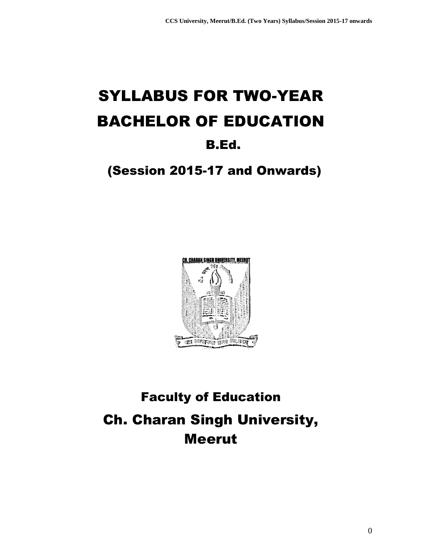# SYLLABUS FOR TWO-YEAR BACHELOR OF EDUCATION B.Ed.

## (Session 2015-17 and Onwards)



# Faculty of Education Ch. Charan Singh University, Meerut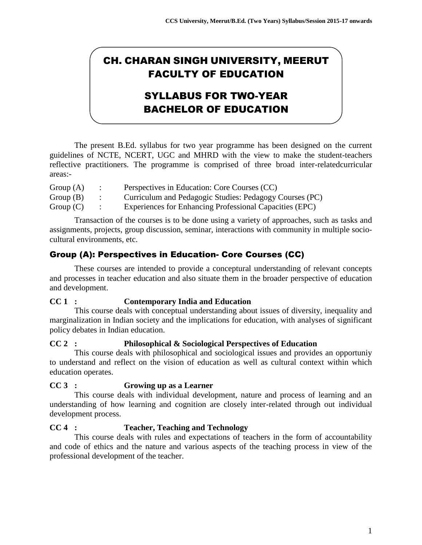## CH. CHARAN SINGH UNIVERSITY, MEERUT FACULTY OF EDUCATION

## SYLLABUS FOR TWO-YEAR BACHELOR OF EDUCATION

The present B.Ed. syllabus for two year programme has been designed on the current guidelines of NCTE, NCERT, UGC and MHRD with the view to make the student-teachers reflective practitioners. The programme is comprised of three broad inter-relatedcurricular areas:-

| Group $(A)$ | Perspectives in Education: Core Courses (CC)            |
|-------------|---------------------------------------------------------|
| Group $(B)$ | Curriculum and Pedagogic Studies: Pedagogy Courses (PC) |
| Group $(C)$ | Experiences for Enhancing Professional Capacities (EPC) |

Transaction of the courses is to be done using a variety of approaches, such as tasks and assignments, projects, group discussion, seminar, interactions with community in multiple sociocultural environments, etc.

## Group (A): Perspectives in Education- Core Courses (CC)

These courses are intended to provide a conceptural understanding of relevant concepts and processes in teacher education and also situate them in the broader perspective of education and development.

#### **CC 1 : Contemporary India and Education**

This course deals with conceptual understanding about issues of diversity, inequality and marginalization in Indian society and the implications for education, with analyses of significant policy debates in Indian education.

#### **CC 2 : Philosophical & Sociological Perspectives of Education**

This course deals with philosophical and sociological issues and provides an opportuniy to understand and reflect on the vision of education as well as cultural context within which education operates.

#### **CC 3 : Growing up as a Learner**

This course deals with individual development, nature and process of learning and an understanding of how learning and cognition are closely inter-related through out individual development process.

#### **CC 4 : Teacher, Teaching and Technology**

This course deals with rules and expectations of teachers in the form of accountability and code of ethics and the nature and various aspects of the teaching process in view of the professional development of the teacher.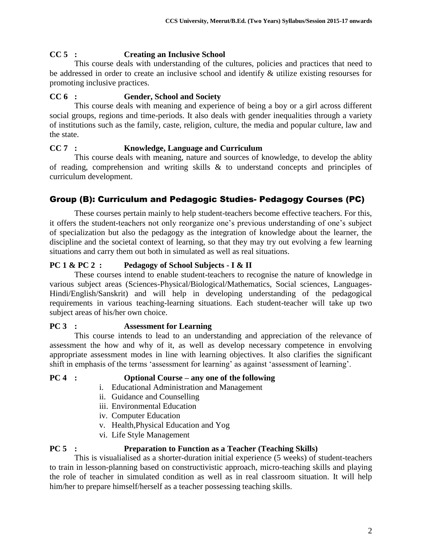### **CC 5 : Creating an Inclusive School**

This course deals with understanding of the cultures, policies and practices that need to be addressed in order to create an inclusive school and identify & utilize existing resourses for promoting inclusive practices.

#### **CC 6 : Gender, School and Society**

This course deals with meaning and experience of being a boy or a girl across different social groups, regions and time-periods. It also deals with gender inequalities through a variety of institutions such as the family, caste, religion, culture, the media and popular culture, law and the state.

#### **CC 7 : Knowledge, Language and Curriculum**

This course deals with meaning, nature and sources of knowledge, to develop the ablity of reading, comprehension and writing skills & to understand concepts and principles of curriculum development.

## Group (B): Curriculum and Pedagogic Studies- Pedagogy Courses (PC)

These courses pertain mainly to help student-teachers become effective teachers. For this, it offers the student-teachers not only reorganize one's previous understanding of one's subject of specialization but also the pedagogy as the integration of knowledge about the learner, the discipline and the societal context of learning, so that they may try out evolving a few learning situations and carry them out both in simulated as well as real situations.

#### **PC 1 & PC 2 : Pedagogy of School Subjects - I & II**

These courses intend to enable student-teachers to recognise the nature of knowledge in various subject areas (Sciences-Physical/Biological/Mathematics, Social sciences, Languages-Hindi/English/Sanskrit) and will help in developing understanding of the pedagogical requirements in various teaching-learning situations. Each student-teacher will take up two subject areas of his/her own choice.

#### **PC 3 : Assessment for Learning**

This course intends to lead to an understanding and appreciation of the relevance of assessment the how and why of it, as well as develop necessary competence in envolving appropriate assessment modes in line with learning objectives. It also clarifies the significant shift in emphasis of the terms 'assessment for learning' as against 'assessment of learning'.

#### **PC 4 : Optional Course – any one of the following**

- i. Educational Administration and Management
- ii. Guidance and Counselling
- iii. Environmental Education
- iv. Computer Education
- v. Health,Physical Education and Yog
- vi. Life Style Management

## **PC 5 : Preparation to Function as a Teacher (Teaching Skills)**

This is visualialised as a shorter-duration initial experience (5 weeks) of student-teachers to train in lesson-planning based on constructivistic approach, micro-teaching skills and playing the role of teacher in simulated condition as well as in real classroom situation. It will help him/her to prepare himself/herself as a teacher possessing teaching skills.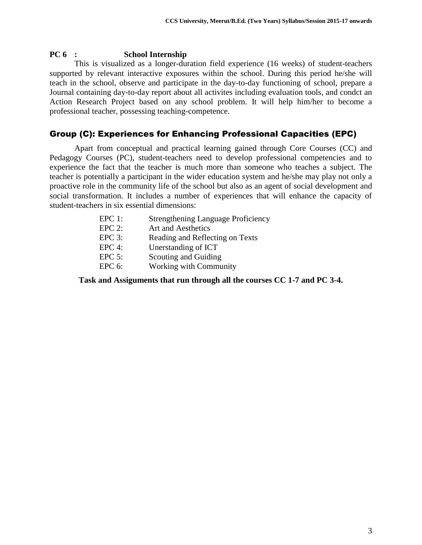#### **PC 6 : School Internship**

This is visualized as a longer-duration field experience (16 weeks) of student-teachers supported by relevant interactive exposures within the school. During this period he/she will teach in the school, observe and participate in the day-to-day functioning of school, prepare a Journal containing day-to-day report about all activites including evaluation tools, and condct an Action Research Project based on any school problem. It will help him/her to become a professional teacher, possessing teaching-competence.

#### Group (C): Experiences for Enhancing Professional Capacities (EPC)

Apart from conceptual and practical learning gained through Core Courses (CC) and Pedagogy Courses (PC), student-teachers need to develop professional competencies and to experience the fact that the teacher is much more than someone who teaches a subject. The teacher is potentially a participant in the wider education system and he/she may play not only a proactive role in the community life of the school but also as an agent of social development and social transformation. It includes a number of experiences that will enhance the capacity of student-teachers in six essential dimensions:

| $EPC 1$ : | <b>Strengthening Language Proficiency</b> |
|-----------|-------------------------------------------|
| $EPC 2$ : | Art and Aesthetics                        |
| $EPC 3$ : | Reading and Reflecting on Texts           |
| $EPC 4$ : | Unerstanding of ICT                       |
| $EPC 5$ : | Scouting and Guiding                      |
| $EPC 6$ : | Working with Community                    |
|           |                                           |

**Task and Assiguments that run through all the courses CC 1-7 and PC 3-4.**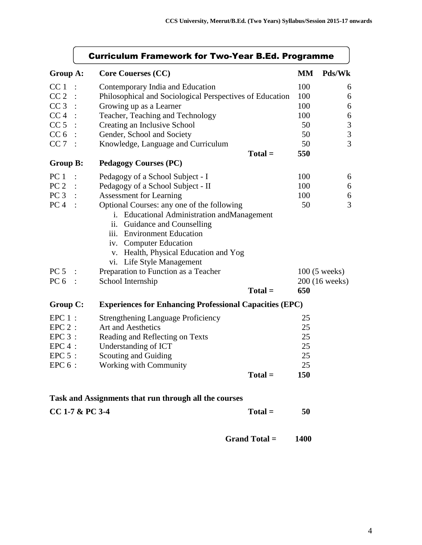|                 | <b>Curriculum Framework for Two-Year B.Ed. Programme</b> |                                                                |           |                         |  |
|-----------------|----------------------------------------------------------|----------------------------------------------------------------|-----------|-------------------------|--|
| Group A:        |                                                          | <b>Core Couerses (CC)</b>                                      | <b>MM</b> | Pds/Wk                  |  |
| CC <sub>1</sub> |                                                          | Contemporary India and Education                               | 100       | 6                       |  |
| CC <sub>2</sub> |                                                          | Philosophical and Sociological Perspectives of Education       | 100       | 6                       |  |
| CC <sub>3</sub> |                                                          | Growing up as a Learner                                        | 100       | 6                       |  |
| CC <sub>4</sub> |                                                          | Teacher, Teaching and Technology                               | 100       | 6                       |  |
| CC <sub>5</sub> |                                                          | Creating an Inclusive School                                   | 50        | $\mathfrak{Z}$          |  |
| CC <sub>6</sub> |                                                          | Gender, School and Society                                     | 50        | $\overline{\mathbf{3}}$ |  |
| CC 7            |                                                          | Knowledge, Language and Curriculum                             | 50        | $\overline{3}$          |  |
|                 |                                                          | $Total =$                                                      | 550       |                         |  |
| <b>Group B:</b> |                                                          | <b>Pedagogy Courses (PC)</b>                                   |           |                         |  |
| PC <sub>1</sub> |                                                          | Pedagogy of a School Subject - I                               | 100       | 6                       |  |
| PC <sub>2</sub> |                                                          | Pedagogy of a School Subject - II                              | 100       | 6                       |  |
| PC <sub>3</sub> |                                                          | <b>Assessment for Learning</b>                                 | 100       | 6                       |  |
| PC <sub>4</sub> |                                                          | Optional Courses: any one of the following                     | 50        | $\overline{3}$          |  |
|                 |                                                          | i. Educational Administration and Management                   |           |                         |  |
|                 |                                                          | ii.<br>Guidance and Counselling                                |           |                         |  |
|                 |                                                          | iii. Environment Education                                     |           |                         |  |
|                 |                                                          | iv. Computer Education                                         |           |                         |  |
|                 |                                                          | v. Health, Physical Education and Yog                          |           |                         |  |
|                 |                                                          | vi. Life Style Management                                      |           |                         |  |
| PC <sub>5</sub> |                                                          | Preparation to Function as a Teacher                           |           | $100(5 \text{ weeks})$  |  |
| PC <sub>6</sub> |                                                          | School Internship                                              |           | 200 (16 weeks)          |  |
|                 |                                                          | $Total =$                                                      | 650       |                         |  |
| <b>Group C:</b> |                                                          | <b>Experiences for Enhancing Professional Capacities (EPC)</b> |           |                         |  |
| $EPC 1$ :       |                                                          | <b>Strengthening Language Proficiency</b>                      | 25        |                         |  |
| $EPC 2$ :       |                                                          | Art and Aesthetics                                             | 25        |                         |  |
| $EPC 3$ :       |                                                          | Reading and Reflecting on Texts                                | 25        |                         |  |
| $EPC 4$ :       |                                                          | Understanding of ICT                                           | 25        |                         |  |
| $EPC 5$ :       |                                                          | Scouting and Guiding                                           | 25        |                         |  |
| $EPC 6$ :       |                                                          | Working with Community                                         | 25        |                         |  |
|                 |                                                          | $Total =$                                                      | 150       |                         |  |
|                 |                                                          | Task and Assignments that run through all the courses          |           |                         |  |
|                 |                                                          |                                                                |           |                         |  |

| $CC$ 1-7 & PC 3-4 | $Total =$ | 50 |
|-------------------|-----------|----|
|-------------------|-----------|----|

 **Grand Total = 1400**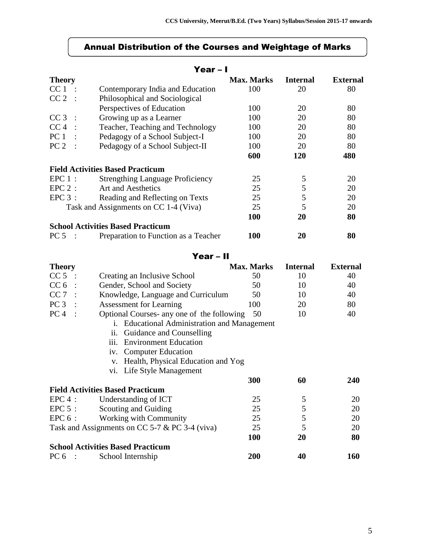#### Annual Distribution of the Courses and Weightage of Marks

#### Year – I **Theory** Max. Marks Internal External CC 1 : Contemporary India and Education 100 20 80<br>CC 2 : Philosophical and Sociological Philosophical and Sociological Perspectives of Education 100 20 80 CC 3 : Growing up as a Learner 100 20 80 CC 4 : Teacher, Teaching and Technology 100 20 80 PC 1 : Pedagogy of a School Subject-I 100 20 80

| PC <sub>2</sub><br>$\sim$ | Pedagogy of a School Subject-II          | 100 | 20         | 80  |
|---------------------------|------------------------------------------|-----|------------|-----|
|                           |                                          | 600 | <b>120</b> | 480 |
|                           | <b>Field Activities Based Practicum</b>  |     |            |     |
| $EPC1$ :                  | <b>Strengthing Language Proficiency</b>  | 25  |            | 20  |
| $EPC 2$ :                 | Art and Aesthetics                       | 25  |            | 20  |
| $EPC 3$ :                 | Reading and Reflecting on Texts          | 25  |            | 20  |
|                           | Task and Assignments on CC 1-4 (Viva)    | 25  |            | 20  |
|                           |                                          | 100 | 20         | 80  |
|                           | <b>School Activities Based Practicum</b> |     |            |     |
| PC 5                      | Preparation to Function as a Teacher     | 100 | 20         | 80  |

#### Year – II

| <b>Theory</b>   |                                                                    | <b>Max. Marks</b> | <b>Internal</b> | <b>External</b> |
|-----------------|--------------------------------------------------------------------|-------------------|-----------------|-----------------|
| CC <sub>5</sub> | Creating an Inclusive School                                       | 50                | 10              | 40              |
| CC <sub>6</sub> | Gender, School and Society                                         | 50                | 10              | 40              |
| CC <sub>7</sub> | Knowledge, Language and Curriculum                                 | 50                | 10              | 40              |
| PC <sub>3</sub> | <b>Assessment for Learning</b>                                     | 100               | 20              | 80              |
| PC <sub>4</sub> | Optional Courses- any one of the following                         | 50                | 10              | 40              |
|                 | <b>Educational Administration and Management</b><br>$\mathbf{i}$ . |                   |                 |                 |
|                 | ii.<br>Guidance and Counselling                                    |                   |                 |                 |
|                 | <b>Environment Education</b><br>iii.                               |                   |                 |                 |
|                 | iv. Computer Education                                             |                   |                 |                 |
|                 | Health, Physical Education and Yog<br>V.                           |                   |                 |                 |
|                 | vi. Life Style Management                                          |                   |                 |                 |
|                 |                                                                    | 300               | 60              | <b>240</b>      |
|                 | <b>Field Activities Based Practicum</b>                            |                   |                 |                 |
| $EPC 4$ :       | Understanding of ICT                                               | 25                | 5               | 20              |
| $EPC 5$ :       | Scouting and Guiding                                               | 25                | 5               | 20              |
| $EPC 6$ :       | Working with Community                                             | 25                | 5               | 20              |
|                 | Task and Assignments on CC 5-7 $&$ PC 3-4 (viva)                   | 25                | 5               | 20              |
|                 |                                                                    | 100               | 20              | 80              |
|                 | <b>School Activities Based Practicum</b>                           |                   |                 |                 |
| PC 6            | School Internship                                                  | 200               | 40              | 160             |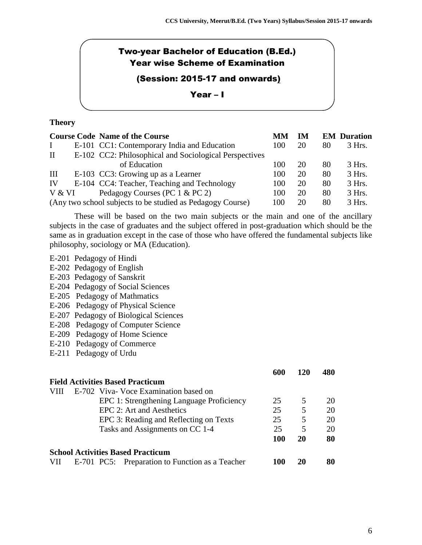## Two-year Bachelor of Education (B.Ed.) Year wise Scheme of Examination

## (Session: 2015-17 and onwards)

#### Year – I

#### **Theory**

|           | <b>Course Code Name of the Course</b>                      | MМ  | IM |    | <b>EM</b> Duration |
|-----------|------------------------------------------------------------|-----|----|----|--------------------|
|           | E-101 CC1: Contemporary India and Education                | 100 | 20 | 80 | $3$ Hrs.           |
| $\rm{II}$ | E-102 CC2: Philosophical and Sociological Perspectives     |     |    |    |                    |
|           | of Education                                               | 100 | 20 | 80 | $3$ Hrs.           |
| Ш         | E-103 CC3: Growing up as a Learner                         | 100 | 20 | 80 | $3$ Hrs.           |
| IV        | E-104 CC4: Teacher, Teaching and Technology                | 100 | 20 | 80 | 3 Hrs.             |
| V & VI    | Pedagogy Courses (PC 1 & PC 2)                             | 100 | 20 | 80 | 3 Hrs.             |
|           | (Any two school subjects to be studied as Pedagogy Course) | 100 | 20 | 80 | 3 Hrs.             |

These will be based on the two main subjects or the main and one of the ancillary subjects in the case of graduates and the subject offered in post-graduation which should be the same as in graduation except in the case of those who have offered the fundamental subjects like philosophy, sociology or MA (Education).

#### E-201 Pedagogy of Hindi

- E-202 Pedagogy of English
- E-203 Pedagogy of Sanskrit
- E-204 Pedagogy of Social Sciences
- E-205 Pedagogy of Mathmatics
- E-206 Pedagogy of Physical Science
- E-207 Pedagogy of Biological Sciences
- E-208 Pedagogy of Computer Science
- E-209 Pedagogy of Home Science
- E-210 Pedagogy of Commerce
- E-211 Pedagogy of Urdu

|     |                                                 | 600 | 120 | 480 |
|-----|-------------------------------------------------|-----|-----|-----|
|     | <b>Field Activities Based Practicum</b>         |     |     |     |
|     | E-702 Viva- Voce Examination based on           |     |     |     |
|     | EPC 1: Strengthening Language Proficiency       | 25  | 5   | 20  |
|     | EPC 2: Art and Aesthetics                       | 25  | 5   | 20  |
|     | EPC 3: Reading and Reflecting on Texts          | 25  | 5   | 20  |
|     | Tasks and Assignments on CC 1-4                 | 25  | 5   | 20  |
|     |                                                 | 100 | 20  | 80  |
|     | <b>School Activities Based Practicum</b>        |     |     |     |
| VII | E-701 PC5: Preparation to Function as a Teacher | 100 | 20  | 80  |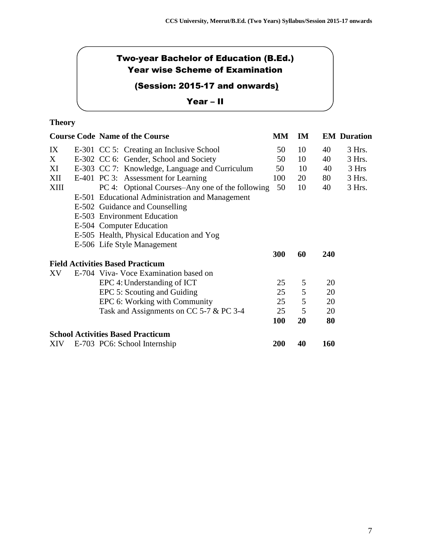## Two-year Bachelor of Education (B.Ed.) Year wise Scheme of Examination

## (Session: 2015-17 and onwards)

#### Year – II

## **Theory**

|      | <b>Course Code Name of the Course</b>           |  | MM         | IM |     | <b>EM Duration</b> |
|------|-------------------------------------------------|--|------------|----|-----|--------------------|
| IX   | E-301 CC 5: Creating an Inclusive School        |  | 50         | 10 | 40  | 3 Hrs.             |
| X    | E-302 CC 6: Gender, School and Society          |  | 50         | 10 | 40  | 3 Hrs.             |
| XI   | E-303 CC 7: Knowledge, Language and Curriculum  |  | 50         | 10 | 40  | 3 Hrs              |
| XII  | E-401 PC 3: Assessment for Learning             |  | 100        | 20 | 80  | 3 Hrs.             |
| XIII | PC 4: Optional Courses–Any one of the following |  | 50         | 10 | 40  | 3 Hrs.             |
|      | E-501 Educational Administration and Management |  |            |    |     |                    |
|      | E-502 Guidance and Counselling                  |  |            |    |     |                    |
|      | E-503 Environment Education                     |  |            |    |     |                    |
|      | E-504 Computer Education                        |  |            |    |     |                    |
|      | E-505 Health, Physical Education and Yog        |  |            |    |     |                    |
|      | E-506 Life Style Management                     |  |            |    |     |                    |
|      |                                                 |  | 300        | 60 | 240 |                    |
|      | <b>Field Activities Based Practicum</b>         |  |            |    |     |                    |
| XV   | E-704 Viva- Voce Examination based on           |  |            |    |     |                    |
|      | EPC 4: Understanding of ICT                     |  | 25         | 5  | 20  |                    |
|      | EPC 5: Scouting and Guiding                     |  | 25         | 5  | 20  |                    |
|      | EPC 6: Working with Community                   |  | 25         | 5  | 20  |                    |
|      | Task and Assignments on CC 5-7 & PC 3-4         |  | 25         | 5  | 20  |                    |
|      |                                                 |  | <b>100</b> | 20 | 80  |                    |
|      | <b>School Activities Based Practicum</b>        |  |            |    |     |                    |
| XIV  | E-703 PC6: School Internship                    |  | <b>200</b> | 40 | 160 |                    |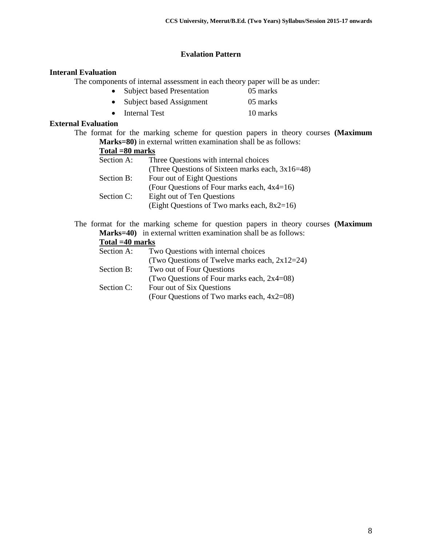#### **Evalation Pattern**

#### **Interanl Evaluation**

The components of internal assessment in each theory paper will be as under:

- Subject based Presentation 05 marks
- Subject based Assignment 05 marks
- Internal Test 10 marks

#### **External Evaluation**

The format for the marking scheme for question papers in theory courses **(Maximum Marks=80)** in external written examination shall be as follows:

| Total =80 marks                                     |
|-----------------------------------------------------|
| Three Questions with internal choices               |
| (Three Questions of Sixteen marks each, $3x16=48$ ) |
| Four out of Eight Questions                         |
| (Four Questions of Four marks each, 4x4=16)         |
| Eight out of Ten Questions                          |
| (Eight Questions of Two marks each, $8x2=16$ )      |
|                                                     |

The format for the marking scheme for question papers in theory courses **(Maximum Marks=40)** in external written examination shall be as follows:

#### **Total =40 marks**

| Section A: | Two Questions with internal choices              |
|------------|--------------------------------------------------|
|            | (Two Questions of Twelve marks each, $2x12=24$ ) |
| Section B: | Two out of Four Questions                        |
|            | (Two Questions of Four marks each, $2x4=08$ )    |
| Section C: | Four out of Six Questions                        |
|            | (Four Questions of Two marks each, 4x2=08)       |
|            |                                                  |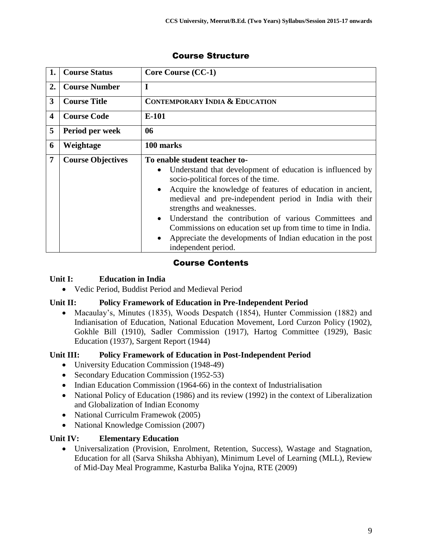| 1. | <b>Course Status</b>     | <b>Core Course (CC-1)</b>                                                                                                                                                                                                                                                                                                                                                                                                                                                                                                                    |
|----|--------------------------|----------------------------------------------------------------------------------------------------------------------------------------------------------------------------------------------------------------------------------------------------------------------------------------------------------------------------------------------------------------------------------------------------------------------------------------------------------------------------------------------------------------------------------------------|
| 2. | <b>Course Number</b>     | I                                                                                                                                                                                                                                                                                                                                                                                                                                                                                                                                            |
| 3  | <b>Course Title</b>      | <b>CONTEMPORARY INDIA &amp; EDUCATION</b>                                                                                                                                                                                                                                                                                                                                                                                                                                                                                                    |
| 4  | <b>Course Code</b>       | E-101                                                                                                                                                                                                                                                                                                                                                                                                                                                                                                                                        |
| 5  | Period per week          | 06                                                                                                                                                                                                                                                                                                                                                                                                                                                                                                                                           |
| 6  | Weightage                | 100 marks                                                                                                                                                                                                                                                                                                                                                                                                                                                                                                                                    |
| 7  | <b>Course Objectives</b> | To enable student teacher to-<br>Understand that development of education is influenced by<br>$\bullet$<br>socio-political forces of the time.<br>Acquire the knowledge of features of education in ancient,<br>medieval and pre-independent period in India with their<br>strengths and weaknesses.<br>Understand the contribution of various Committees and<br>$\bullet$<br>Commissions on education set up from time to time in India.<br>Appreciate the developments of Indian education in the post<br>$\bullet$<br>independent period. |

## Course Contents

#### **Unit I: Education in India**

Vedic Period, Buddist Period and Medieval Period

## **Unit II: Policy Framework of Education in Pre-Independent Period**

• Macaulay's, Minutes (1835), Woods Despatch (1854), Hunter Commission (1882) and Indianisation of Education, National Education Movement, Lord Curzon Policy (1902), Gokhle Bill (1910), Sadler Commission (1917), Hartog Committee (1929), Basic Education (1937), Sargent Report (1944)

## **Unit III: Policy Framework of Education in Post-Independent Period**

- University Education Commission (1948-49)
- Secondary Education Commission (1952-53)
- Indian Education Commission (1964-66) in the context of Industrialisation
- National Policy of Education (1986) and its review (1992) in the context of Liberalization and Globalization of Indian Economy
- National Curriculm Framewok (2005)
- National Knowledge Comission (2007)

## **Unit IV: Elementary Education**

 Universalization (Provision, Enrolment, Retention, Success), Wastage and Stagnation, Education for all (Sarva Shiksha Abhiyan), Minimum Level of Learning (MLL), Review of Mid-Day Meal Programme, Kasturba Balika Yojna, RTE (2009)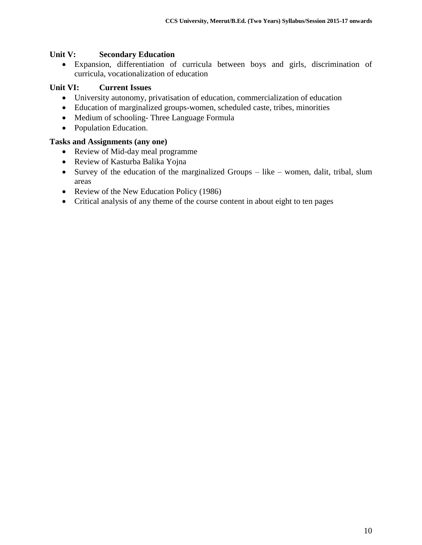#### **Unit V: Secondary Education**

 Expansion, differentiation of curricula between boys and girls, discrimination of curricula, vocationalization of education

### **Unit VI: Current Issues**

- University autonomy, privatisation of education, commercialization of education
- Education of marginalized groups-women, scheduled caste, tribes, minorities
- Medium of schooling-Three Language Formula
- Population Education.

#### **Tasks and Assignments (any one)**

- Review of Mid-day meal programme
- Review of Kasturba Balika Yojna
- Survey of the education of the marginalized Groups like women, dalit, tribal, slum areas
- Review of the New Education Policy (1986)
- Critical analysis of any theme of the course content in about eight to ten pages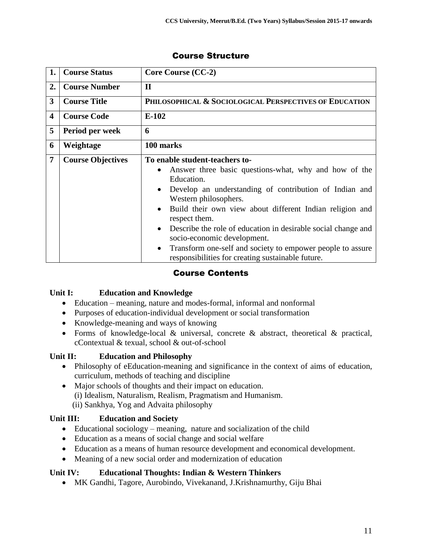| 1.                      | <b>Course Status</b>     | <b>Core Course (CC-2)</b>                                                                                                                                                                                                                                                                                                                                                                                                                                                                                                                                 |
|-------------------------|--------------------------|-----------------------------------------------------------------------------------------------------------------------------------------------------------------------------------------------------------------------------------------------------------------------------------------------------------------------------------------------------------------------------------------------------------------------------------------------------------------------------------------------------------------------------------------------------------|
| 2.                      | <b>Course Number</b>     | $\mathbf{I}$                                                                                                                                                                                                                                                                                                                                                                                                                                                                                                                                              |
| 3                       | <b>Course Title</b>      | PHILOSOPHICAL & SOCIOLOGICAL PERSPECTIVES OF EDUCATION                                                                                                                                                                                                                                                                                                                                                                                                                                                                                                    |
| $\overline{\mathbf{4}}$ | <b>Course Code</b>       | $E-102$                                                                                                                                                                                                                                                                                                                                                                                                                                                                                                                                                   |
| 5                       | Period per week          | 6                                                                                                                                                                                                                                                                                                                                                                                                                                                                                                                                                         |
| 6                       | Weightage                | 100 marks                                                                                                                                                                                                                                                                                                                                                                                                                                                                                                                                                 |
| $\overline{7}$          | <b>Course Objectives</b> | To enable student-teachers to-<br>Answer three basic questions-what, why and how of the<br>$\bullet$<br>Education.<br>Develop an understanding of contribution of Indian and<br>$\bullet$<br>Western philosophers.<br>Build their own view about different Indian religion and<br>$\bullet$<br>respect them.<br>Describe the role of education in desirable social change and<br>$\bullet$<br>socio-economic development.<br>Transform one-self and society to empower people to assure<br>$\bullet$<br>responsibilities for creating sustainable future. |

## Course Contents

## **Unit I: Education and Knowledge**

- Education meaning, nature and modes-formal, informal and nonformal
- Purposes of education-individual development or social transformation
- Knowledge-meaning and ways of knowing
- Forms of knowledge-local & universal, concrete & abstract, theoretical & practical, cContextual & texual, school & out-of-school

## **Unit II: Education and Philosophy**

- Philosophy of eEducation-meaning and significance in the context of aims of education, curriculum, methods of teaching and discipline
- Major schools of thoughts and their impact on education. (i) Idealism, Naturalism, Realism, Pragmatism and Humanism. (ii) Sankhya, Yog and Advaita philosophy

## **Unit III: Education and Society**

- Educational sociology meaning, nature and socialization of the child
- Education as a means of social change and social welfare
- Education as a means of human resource development and economical development.
- Meaning of a new social order and modernization of education

## **Unit IV: Educational Thoughts: Indian & Western Thinkers**

MK Gandhi, Tagore, Aurobindo, Vivekanand, J.Krishnamurthy, Giju Bhai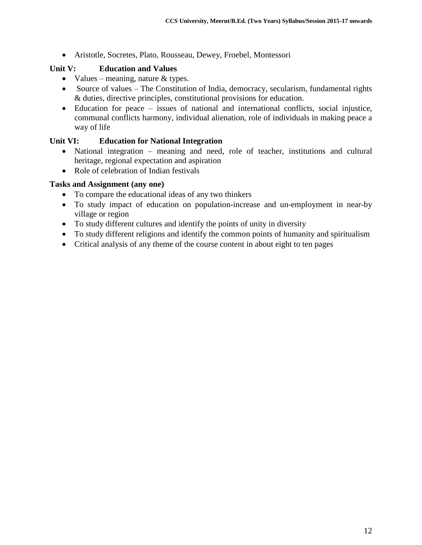Aristotle, Socretes, Plato, Rousseau, Dewey, Froebel, Montessori

## **Unit V: Education and Values**

- Values meaning, nature  $&$  types.
- Source of values The Constitution of India, democracy, secularism, fundamental rights & duties, directive principles, constitutional provisions for education.
- Education for peace issues of national and international conflicts, social injustice, communal conflicts harmony, individual alienation, role of individuals in making peace a way of life

## **Unit VI: Education for National Integration**

- National integration meaning and need, role of teacher, institutions and cultural heritage, regional expectation and aspiration
- Role of celebration of Indian festivals

#### **Tasks and Assignment (any one)**

- To compare the educational ideas of any two thinkers
- To study impact of education on population-increase and un-employment in near-by village or region
- To study different cultures and identify the points of unity in diversity
- To study different religions and identify the common points of humanity and spiritualism
- Critical analysis of any theme of the course content in about eight to ten pages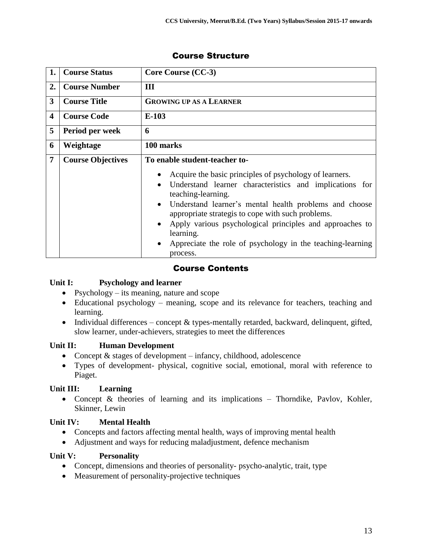| 1.                      | <b>Course Status</b>     | Core Course (CC-3)                                                                                                                                                                                                                                                                                                                                                                                                      |
|-------------------------|--------------------------|-------------------------------------------------------------------------------------------------------------------------------------------------------------------------------------------------------------------------------------------------------------------------------------------------------------------------------------------------------------------------------------------------------------------------|
| 2.                      | <b>Course Number</b>     | Ш                                                                                                                                                                                                                                                                                                                                                                                                                       |
| $\overline{\mathbf{3}}$ | <b>Course Title</b>      | <b>GROWING UP AS A LEARNER</b>                                                                                                                                                                                                                                                                                                                                                                                          |
| 4                       | <b>Course Code</b>       | $E-103$                                                                                                                                                                                                                                                                                                                                                                                                                 |
| 5                       | Period per week          | 6                                                                                                                                                                                                                                                                                                                                                                                                                       |
| 6                       | Weightage                | 100 marks                                                                                                                                                                                                                                                                                                                                                                                                               |
| 7                       | <b>Course Objectives</b> | To enable student-teacher to-                                                                                                                                                                                                                                                                                                                                                                                           |
|                         |                          | Acquire the basic principles of psychology of learners.<br>Understand learner characteristics and implications for<br>teaching-learning.<br>Understand learner's mental health problems and choose<br>$\bullet$<br>appropriate strategis to cope with such problems.<br>Apply various psychological principles and approaches to<br>learning.<br>Appreciate the role of psychology in the teaching-learning<br>process. |

## Course Contents

#### **Unit I: Psychology and learner**

- Psychology its meaning, nature and scope
- Educational psychology meaning, scope and its relevance for teachers, teaching and learning.
- Individual differences concept  $&$  types-mentally retarded, backward, delinquent, gifted, slow learner, under-achievers, strategies to meet the differences

## **Unit II: Human Development**

- Concept  $&$  stages of development infancy, childhood, adolescence
- Types of development- physical, cognitive social, emotional, moral with reference to Piaget.

## **Unit III: Learning**

• Concept & theories of learning and its implications – Thorndike, Pavlov, Kohler, Skinner, Lewin

## **Unit IV: Mental Health**

- Concepts and factors affecting mental health, ways of improving mental health
- Adjustment and ways for reducing maladjustment, defence mechanism

#### **Unit V: Personality**

- Concept, dimensions and theories of personality- psycho-analytic, trait, type
- Measurement of personality-projective techniques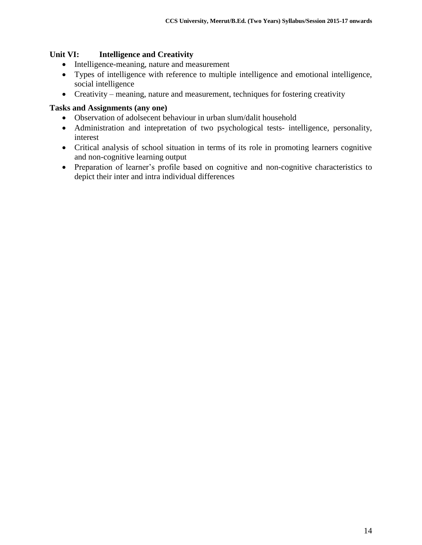#### **Unit VI: Intelligence and Creativity**

- Intelligence-meaning, nature and measurement
- Types of intelligence with reference to multiple intelligence and emotional intelligence, social intelligence
- Creativity meaning, nature and measurement, techniques for fostering creativity

#### **Tasks and Assignments (any one)**

- Observation of adolsecent behaviour in urban slum/dalit household
- Administration and intepretation of two psychological tests- intelligence, personality, interest
- Critical analysis of school situation in terms of its role in promoting learners cognitive and non-cognitive learning output
- Preparation of learner's profile based on cognitive and non-cognitive characteristics to depict their inter and intra individual differences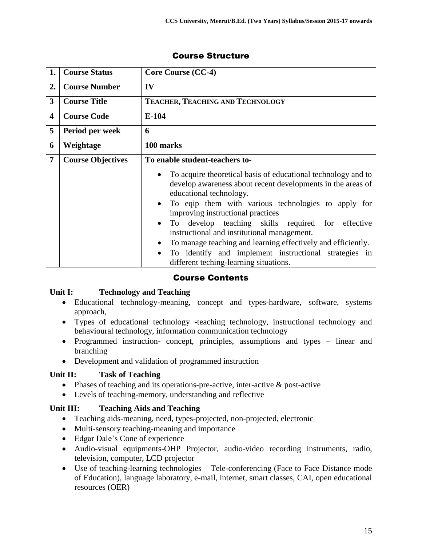| 1.             | <b>Course Status</b>     | Core Course (CC-4)                                                                                                                                                                                                                                                                                                                                                                                                                                                                                                                                                             |
|----------------|--------------------------|--------------------------------------------------------------------------------------------------------------------------------------------------------------------------------------------------------------------------------------------------------------------------------------------------------------------------------------------------------------------------------------------------------------------------------------------------------------------------------------------------------------------------------------------------------------------------------|
| 2.             | <b>Course Number</b>     | IV                                                                                                                                                                                                                                                                                                                                                                                                                                                                                                                                                                             |
| 3              | <b>Course Title</b>      | TEACHER, TEACHING AND TECHNOLOGY                                                                                                                                                                                                                                                                                                                                                                                                                                                                                                                                               |
| 4              | <b>Course Code</b>       | $E-104$                                                                                                                                                                                                                                                                                                                                                                                                                                                                                                                                                                        |
| 5              | Period per week          | 6                                                                                                                                                                                                                                                                                                                                                                                                                                                                                                                                                                              |
| 6              | Weightage                | 100 marks                                                                                                                                                                                                                                                                                                                                                                                                                                                                                                                                                                      |
| $\overline{7}$ | <b>Course Objectives</b> | To enable student-teachers to-                                                                                                                                                                                                                                                                                                                                                                                                                                                                                                                                                 |
|                |                          | To acquire theoretical basis of educational technology and to<br>develop awareness about recent developments in the areas of<br>educational technology.<br>To eqip them with various technologies to apply for<br>$\bullet$<br>improving instructional practices<br>To develop teaching skills required for effective<br>$\bullet$<br>instructional and institutional management.<br>To manage teaching and learning effectively and efficiently.<br>$\bullet$<br>To identify and implement instructional strategies in<br>$\bullet$<br>different teching-learning situations. |

## Course Contents

#### **Unit I: Technology and Teaching**

- Educational technology-meaning, concept and types-hardware, software, systems approach,
- Types of educational technology -teaching technology, instructional technology and behavioural technology, information communication technology
- Programmed instruction- concept, principles, assumptions and types linear and branching
- Development and validation of programmed instruction

#### **Unit II: Task of Teaching**

- Phases of teaching and its operations-pre-active, inter-active & post-active
- Levels of teaching-memory, understanding and reflective

#### **Unit III: Teaching Aids and Teaching**

- Teaching aids-meaning, need, types-projected, non-projected, electronic
- Multi-sensory teaching-meaning and importance
- Edgar Dale's Cone of experience
- Audio-visual equipments-OHP Projector, audio-video recording instruments, radio, television, computer, LCD projector
- Use of teaching-learning technologies Tele-conferencing (Face to Face Distance mode of Education), language laboratory, e-mail, internet, smart classes, CAI, open educational resources (OER)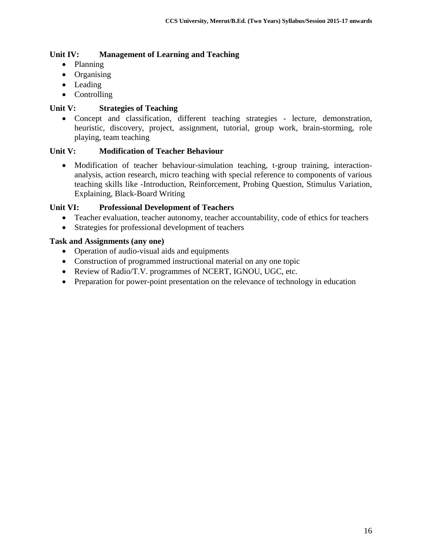### **Unit IV: Management of Learning and Teaching**

- Planning
- Organising
- Leading
- Controlling

#### **Unit V: Strategies of Teaching**

 Concept and classification, different teaching strategies - lecture, demonstration, heuristic, discovery, project, assignment, tutorial, group work, brain-storming, role playing, team teaching

#### **Unit V: Modification of Teacher Behaviour**

• Modification of teacher behaviour-simulation teaching, t-group training, interactionanalysis, action research, micro teaching with special reference to components of various teaching skills like -Introduction, Reinforcement, Probing Question, Stimulus Variation, Explaining, Black-Board Writing

#### **Unit VI: Professional Development of Teachers**

- Teacher evaluation, teacher autonomy, teacher accountability, code of ethics for teachers
- Strategies for professional development of teachers

#### **Task and Assignments (any one)**

- Operation of audio-visual aids and equipments
- Construction of programmed instructional material on any one topic
- Review of Radio/T.V. programmes of NCERT, IGNOU, UGC, etc.
- Preparation for power-point presentation on the relevance of technology in education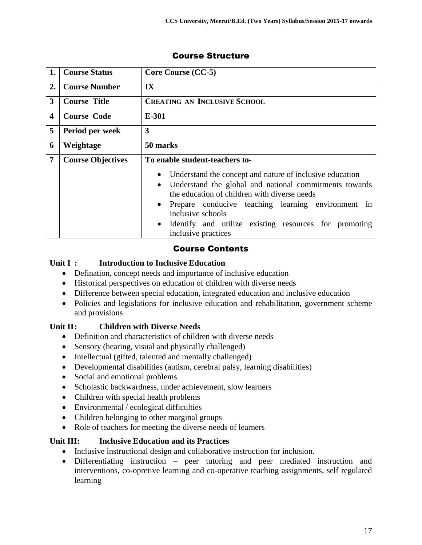| 1.               | <b>Course Status</b>     | Core Course (CC-5)                                                                                                                                                                                                                                                                                                                                                   |
|------------------|--------------------------|----------------------------------------------------------------------------------------------------------------------------------------------------------------------------------------------------------------------------------------------------------------------------------------------------------------------------------------------------------------------|
| 2.               | <b>Course Number</b>     | $\mathbf{I} \mathbf{X}$                                                                                                                                                                                                                                                                                                                                              |
| 3                | <b>Course Title</b>      | <b>CREATING AN INCLUSIVE SCHOOL</b>                                                                                                                                                                                                                                                                                                                                  |
| $\boldsymbol{4}$ | <b>Course Code</b>       | E-301                                                                                                                                                                                                                                                                                                                                                                |
| 5                | Period per week          | 3                                                                                                                                                                                                                                                                                                                                                                    |
| 6                | Weightage                | 50 marks                                                                                                                                                                                                                                                                                                                                                             |
| 7                | <b>Course Objectives</b> | To enable student-teachers to-                                                                                                                                                                                                                                                                                                                                       |
|                  |                          | Understand the concept and nature of inclusive education<br>$\bullet$<br>Understand the global and national commitments towards<br>the education of children with diverse needs<br>Prepare conducive teaching learning environment in<br>$\bullet$<br>inclusive schools<br>Identify and utilize existing resources for promoting<br>$\bullet$<br>inclusive practices |

## Course Contents

## **Unit I : Introduction to Inclusive Education**

- Defination, concept needs and importance of inclusive education
- Historical perspectives on education of children with diverse needs
- Difference between special education, integrated education and inclusive education
- Policies and legislations for inclusive education and rehabilitation, government scheme and provisions

## **Unit II: Children with Diverse Needs**

- Definition and characteristics of children with diverse needs
- Sensory (hearing, visual and physically challenged)
- Intellectual (gifted, talented and mentally challenged)
- Developmental disabilities (autism, cerebral palsy, learning disabilities)
- Social and emotional problems
- Scholastic backwardness, under achievement, slow learners
- Children with special health problems
- Environmental / ecological difficulties
- Children belonging to other marginal groups
- Role of teachers for meeting the diverse needs of learners

#### **Unit III: Inclusive Education and its Practices**

- Inclusive instructional design and collaborative instruction for inclusion.
- Differentiating instruction peer tutoring and peer mediated instruction and interventions, co-opretive learning and co-operative teaching assignments, self regulated learning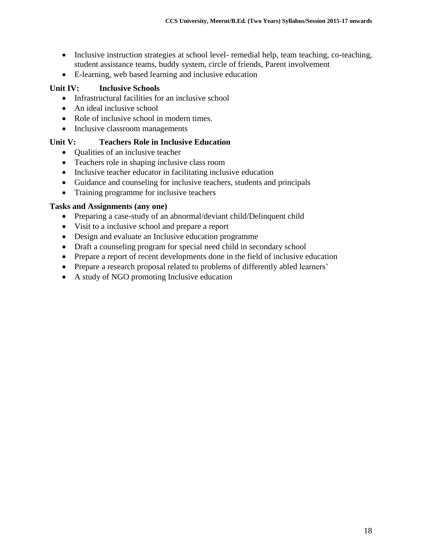- Inclusive instruction strategies at school level- remedial help, team teaching, co-teaching, student assistance teams, buddy system, circle of friends, Parent involvement
- E-learning, web based learning and inclusive education

## **Unit IV: Inclusive Schools**

- Infrastructural facilities for an inclusive school
- An ideal inclusive school
- Role of inclusive school in modern times.
- Inclusive classroom managements

## **Unit V: Teachers Role in Inclusive Education**

- Oualities of an inclusive teacher
- Teachers role in shaping inclusive class room
- Inclusive teacher educator in facilitating inclusive education
- Guidance and counseling for inclusive teachers, students and principals
- Training programme for inclusive teachers

#### **Tasks and Assignments (any one)**

- Preparing a case-study of an abnormal/deviant child/Delinquent child
- Visit to a inclusive school and prepare a report
- Design and evaluate an Inclusive education programme
- Draft a counseling program for special need child in secondary school
- Prepare a report of recent developments done in the field of inclusive education
- Prepare a research proposal related to problems of differently abled learners'
- A study of NGO promoting Inclusive education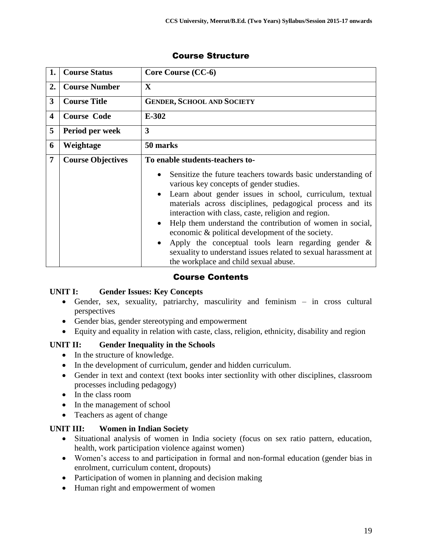| 1.             | <b>Course Status</b>     | Core Course (CC-6)                                                                                                                                                                                                                                                                                                                                                                                                                                                                                                                                                                                      |
|----------------|--------------------------|---------------------------------------------------------------------------------------------------------------------------------------------------------------------------------------------------------------------------------------------------------------------------------------------------------------------------------------------------------------------------------------------------------------------------------------------------------------------------------------------------------------------------------------------------------------------------------------------------------|
| 2.             | <b>Course Number</b>     | $\mathbf{X}$                                                                                                                                                                                                                                                                                                                                                                                                                                                                                                                                                                                            |
| 3              | <b>Course Title</b>      | <b>GENDER, SCHOOL AND SOCIETY</b>                                                                                                                                                                                                                                                                                                                                                                                                                                                                                                                                                                       |
| 4              | <b>Course Code</b>       | $E-302$                                                                                                                                                                                                                                                                                                                                                                                                                                                                                                                                                                                                 |
| 5              | Period per week          | $\overline{\mathbf{3}}$                                                                                                                                                                                                                                                                                                                                                                                                                                                                                                                                                                                 |
| 6              | Weightage                | 50 marks                                                                                                                                                                                                                                                                                                                                                                                                                                                                                                                                                                                                |
| $\overline{7}$ | <b>Course Objectives</b> | To enable students-teachers to-                                                                                                                                                                                                                                                                                                                                                                                                                                                                                                                                                                         |
|                |                          | Sensitize the future teachers towards basic understanding of<br>various key concepts of gender studies.<br>Learn about gender issues in school, curriculum, textual<br>materials across disciplines, pedagogical process and its<br>interaction with class, caste, religion and region.<br>Help them understand the contribution of women in social,<br>$\bullet$<br>economic & political development of the society.<br>Apply the conceptual tools learn regarding gender $\&$<br>$\bullet$<br>sexuality to understand issues related to sexual harassment at<br>the workplace and child sexual abuse. |

## Course Contents

#### **UNIT I: Gender Issues: Key Concepts**

- Gender, sex, sexuality, patriarchy, masculirity and feminism in cross cultural perspectives
- Gender bias, gender stereotyping and empowerment
- Equity and equality in relation with caste, class, religion, ethnicity, disability and region

## **UNIT II: Gender Inequality in the Schools**

- In the structure of knowledge.
- In the development of curriculum, gender and hidden curriculum.
- Gender in text and context (text books inter sectionlity with other disciplines, classroom processes including pedagogy)
- In the class room
- In the management of school
- Teachers as agent of change

## **UNIT III: Women in Indian Society**

- Situational analysis of women in India society (focus on sex ratio pattern, education, health, work participation violence against women)
- Women's access to and participation in formal and non-formal education (gender bias in enrolment, curriculum content, dropouts)
- Participation of women in planning and decision making
- Human right and empowerment of women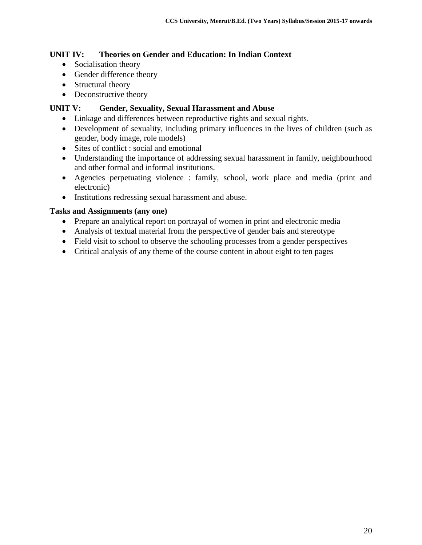### **UNIT IV: Theories on Gender and Education: In Indian Context**

- Socialisation theory
- Gender difference theory
- Structural theory
- Deconstructive theory

#### **UNIT V: Gender, Sexuality, Sexual Harassment and Abuse**

- Linkage and differences between reproductive rights and sexual rights.
- Development of sexuality, including primary influences in the lives of children (such as gender, body image, role models)
- Sites of conflict : social and emotional
- Understanding the importance of addressing sexual harassment in family, neighbourhood and other formal and informal institutions.
- Agencies perpetuating violence : family, school, work place and media (print and electronic)
- Institutions redressing sexual harassment and abuse.

#### **Tasks and Assignments (any one)**

- Prepare an analytical report on portrayal of women in print and electronic media
- Analysis of textual material from the perspective of gender bais and stereotype
- Field visit to school to observe the schooling processes from a gender perspectives
- Critical analysis of any theme of the course content in about eight to ten pages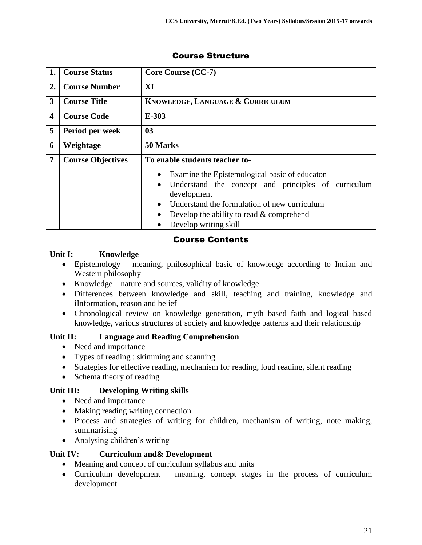| 1.                      | <b>Course Status</b>     | Core Course (CC-7)                                                                                                                                                                                                                                                                        |
|-------------------------|--------------------------|-------------------------------------------------------------------------------------------------------------------------------------------------------------------------------------------------------------------------------------------------------------------------------------------|
| 2.                      | <b>Course Number</b>     | XI                                                                                                                                                                                                                                                                                        |
| 3                       | <b>Course Title</b>      | KNOWLEDGE, LANGUAGE & CURRICULUM                                                                                                                                                                                                                                                          |
| $\overline{\mathbf{4}}$ | <b>Course Code</b>       | $E-303$                                                                                                                                                                                                                                                                                   |
| 5                       | Period per week          | 0 <sub>3</sub>                                                                                                                                                                                                                                                                            |
| 6                       | Weightage                | 50 Marks                                                                                                                                                                                                                                                                                  |
| 7                       | <b>Course Objectives</b> | To enable students teacher to-<br>Examine the Epistemological basic of educaton<br>Understand the concept and principles of curriculum<br>$\bullet$<br>development<br>Understand the formulation of new curriculum<br>Develop the ability to read $&$ comprehend<br>Develop writing skill |

## Course Contents

## **Unit I: Knowledge**

- Epistemology meaning, philosophical basic of knowledge according to Indian and Western philosophy
- Knowledge nature and sources, validity of knowledge
- Differences between knowledge and skill, teaching and training, knowledge and iInformation, reason and belief
- Chronological review on knowledge generation, myth based faith and logical based knowledge, various structures of society and knowledge patterns and their relationship

## **Unit II: Language and Reading Comprehension**

- Need and importance
- Types of reading : skimming and scanning
- Strategies for effective reading, mechanism for reading, loud reading, silent reading
- Schema theory of reading

## **Unit III: Developing Writing skills**

- Need and importance
- Making reading writing connection
- Process and strategies of writing for children, mechanism of writing, note making, summarising
- Analysing children's writing

## **Unit IV: Curriculum and& Development**

- Meaning and concept of curriculum syllabus and units
- Curriculum development meaning, concept stages in the process of curriculum development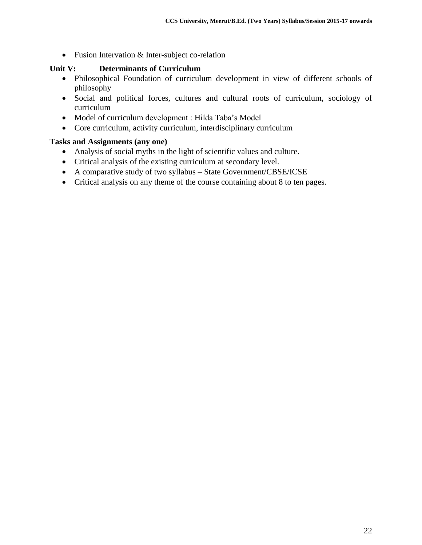• Fusion Intervation & Inter-subject co-relation

#### **Unit V: Determinants of Curriculum**

- Philosophical Foundation of curriculum development in view of different schools of philosophy
- Social and political forces, cultures and cultural roots of curriculum, sociology of curriculum
- Model of curriculum development : Hilda Taba's Model
- Core curriculum, activity curriculum, interdisciplinary curriculum

#### **Tasks and Assignments (any one)**

- Analysis of social myths in the light of scientific values and culture.
- Critical analysis of the existing curriculum at secondary level.
- A comparative study of two syllabus State Government/CBSE/ICSE
- Critical analysis on any theme of the course containing about 8 to ten pages.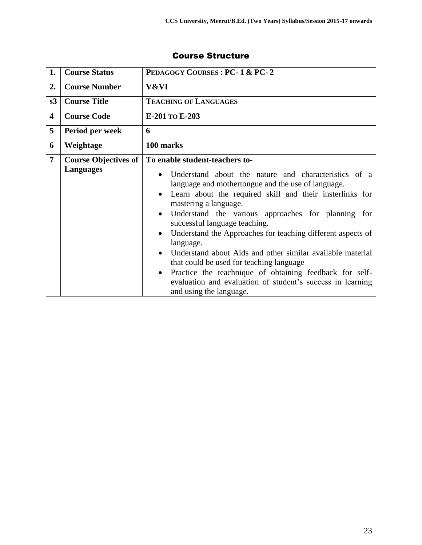| 1.                      | <b>Course Status</b>                            | PEDAGOGY COURSES: PC-1 & PC-2                                                                                                                                                                                                                                                                                                                                                                                                                                                                                                                                                                                                                                                                             |
|-------------------------|-------------------------------------------------|-----------------------------------------------------------------------------------------------------------------------------------------------------------------------------------------------------------------------------------------------------------------------------------------------------------------------------------------------------------------------------------------------------------------------------------------------------------------------------------------------------------------------------------------------------------------------------------------------------------------------------------------------------------------------------------------------------------|
| 2.                      | <b>Course Number</b>                            | V&VI                                                                                                                                                                                                                                                                                                                                                                                                                                                                                                                                                                                                                                                                                                      |
| s3                      | <b>Course Title</b>                             | <b>TEACHING OF LANGUAGES</b>                                                                                                                                                                                                                                                                                                                                                                                                                                                                                                                                                                                                                                                                              |
| $\overline{\mathbf{4}}$ | <b>Course Code</b>                              | E-201 TO E-203                                                                                                                                                                                                                                                                                                                                                                                                                                                                                                                                                                                                                                                                                            |
| 5                       | Period per week                                 | 6                                                                                                                                                                                                                                                                                                                                                                                                                                                                                                                                                                                                                                                                                                         |
| 6                       | Weightage                                       | 100 marks                                                                                                                                                                                                                                                                                                                                                                                                                                                                                                                                                                                                                                                                                                 |
| $\overline{7}$          | <b>Course Objectives of</b><br><b>Languages</b> | To enable student-teachers to-<br>Understand about the nature and characteristics of a<br>language and mothertongue and the use of language.<br>Learn about the required skill and their insterlinks for<br>mastering a language.<br>Understand the various approaches for planning for<br>$\bullet$<br>successful language teaching.<br>Understand the Approaches for teaching different aspects of<br>$\bullet$<br>language.<br>Understand about Aids and other similar available material<br>that could be used for teaching language<br>Practice the teachnique of obtaining feedback for self-<br>$\bullet$<br>evaluation and evaluation of student's success in learning<br>and using the language. |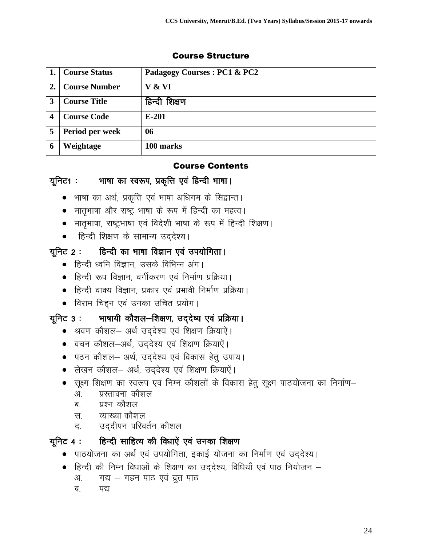## **1. Course Status Padagogy Courses : PC1 & PC2 2. Course Number V & VI** 3 Course Title | हिन्दी शिक्षण **4 Course Code E-201 5 Period per week 06 6 Weightage 100 marks**

## Course Structure

## Course Contents

## यूनिट1 : भाषा का स्वरूप, प्रकृत्ति एवं हिन्दी भाषा।

- भाषा का अर्थ, प्रकृत्ति एवं भाषा अधिगम के सिद्वान्त।
- मातृभाषा और राष्ट्र भाषा के रूप में हिन्दी का महत्व।
- मातृभाषा, राष्ट्रभाषा एवं विदेशी भाषा के रूप में हिन्दी शिक्षण।
- हिन्दी शिक्षण के सामान्य उद्देश्य।

## युनिट 2 : हिन्दी का भाषा विज्ञान एवं उपयोगिता।

- हिन्दी ध्वनि विज्ञान, उसके विभिन्न अंग।
- हिन्दी रूप विज्ञान, वर्गीकरण एवं निर्माण प्रक्रिया।
- हिन्दी वाक्य विज्ञान, प्रकार एवं प्रभावी निर्माण प्रक्रिया।
- विराम चिहन एवं उनका उचित प्रयोग।

## यूनिट 3 : भाषायी कौशल-शिक्षण, उददेष्य एवं प्रक्रिया।

- श्रवण कौशल- अर्थ उद्देश्य एवं शिक्षण क्रियाऐं।
- वचन कौशल-अर्थ, उद्देश्य एवं शिक्षण क्रियाऐं।
- पठन कौशल– अर्थ, उद्देश्य एवं विकास हेत् उपाय।
- लेखन कौशल- अर्थ, उद्देश्य एवं शिक्षण क्रियाऐं।
- $\bullet$  सूक्ष्म शिक्षण का स्वरूप एवं निम्न कौशलों के विकास हेतू सूक्ष्म पाठयोजना का निर्माण–
	- अ. प्रस्तावना कौशल
	- ब प्रश्न कौशल
	- स. व्याख्या कौशल
	- द. व्हिदीपन परिवर्तन कौशल

## यूनिट 4 : हिन्दी साहित्य की विधाऐं एवं उनका शिक्षण

- पाठयोजना का अर्थ एवं उपयोगिता, इकाई योजना का निर्माण एवं उद्देश्य।
- $\bullet$  हिन्दी की निम्न विधाओं के शिक्षण का उद्देश्य, विधियाँ एवं पाठ नियोजन
	- अ. मिथ गहन पाठ एवं द्रुत पाठ
	- ब. पद्य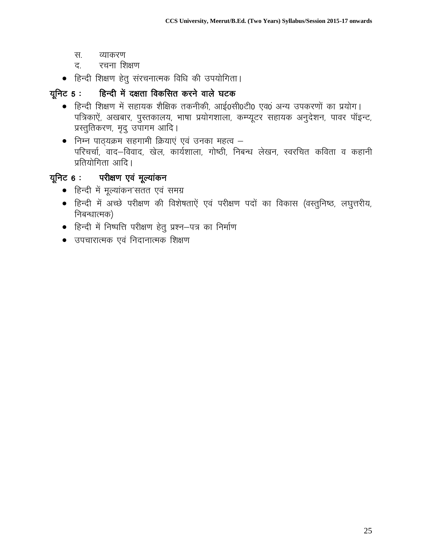- स. व्याकरण
- द. रचना शिक्षण
- $\bullet$  हिन्दी शिक्षण हेतु संरचनात्मक विधि की उपयोगिता।

## गूनिट 5 : हिन्दी में दक्षता विकसित करने वाले घटक

- हिन्दी शिक्षण में सहायक शैक्षिक तकनीकी, आई0सी0टी0 एव0ं अन्य उपकरणों का प्रयोग। पत्रिकाऐं, अखबार, पुस्तकालय, भाषा प्रयोगशाला, कम्प्यूटर सहायक अनुदेशन, पावर पॉइन्ट, प्रस्तुतिकरण, मृदु उपागम आदि।
- $\bullet$  निम्न पाठ्यक्रम सहगामी क्रियाएं एवं उनका महत्व परिचर्चा, वाद–विवाद, खेल, कार्यशाला, गोष्ठी, निबन्ध लेखन, स्वरचित कविता व कहानी प्रतियोगिता आदि ।

## यूनिट 6 : परीक्षण एवं मूल्यांकन

- हिन्दी में मूल्यांकन'सतत एवं समग्र
- हिन्दी में अच्छे परीक्षण की विशेषताऐं एवं परीक्षण पदों का विकास (वस्तुनिष्ठ, लघुत्तरीय, निबन्धात्मक)
- $\bullet$  हिन्दी में निष्पत्ति परीक्षण हेतु प्रश्न-पत्र का निर्माण
- $\bullet$  उपचारात्मक एवं निदानात्मक शिक्षण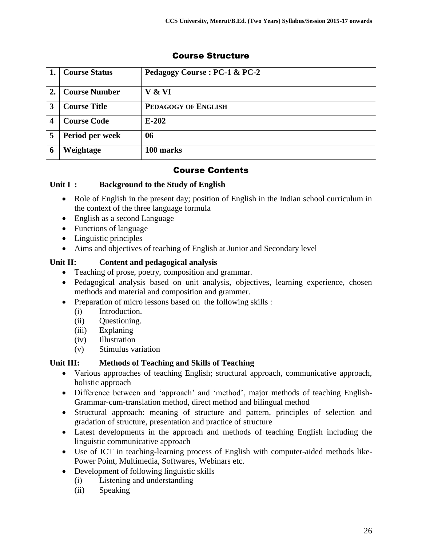|                  | <b>Course Status</b> | Pedagogy Course: PC-1 & PC-2 |
|------------------|----------------------|------------------------------|
| $\overline{2}$ . | <b>Course Number</b> | V & VI                       |
| 3                | <b>Course Title</b>  | PEDAGOGY OF ENGLISH          |
|                  | <b>Course Code</b>   | $E-202$                      |
| 5                | Period per week      | 06                           |
| 6                | Weightage            | 100 marks                    |

## Course Contents

#### **Unit I : Background to the Study of English**

- Role of English in the present day; position of English in the Indian school curriculum in the context of the three language formula
- English as a second Language
- Functions of language
- Linguistic principles
- Aims and objectives of teaching of English at Junior and Secondary level

#### **Unit II: Content and pedagogical analysis**

- Teaching of prose, poetry, composition and grammar.
- Pedagogical analysis based on unit analysis, objectives, learning experience, chosen methods and material and composition and grammer.
- Preparation of micro lessons based on the following skills :
	- (i) Introduction.
	- (ii) Questioning.
	- (iii) Explaning
	- (iv) Illustration
	- (v) Stimulus variation

#### **Unit III: Methods of Teaching and Skills of Teaching**

- Various approaches of teaching English; structural approach, communicative approach, holistic approach
- Difference between and 'approach' and 'method', major methods of teaching English-Grammar-cum-translation method, direct method and bilingual method
- Structural approach: meaning of structure and pattern, principles of selection and gradation of structure, presentation and practice of structure
- Latest developments in the approach and methods of teaching English including the linguistic communicative approach
- Use of ICT in teaching-learning process of English with computer-aided methods like-Power Point, Multimedia, Softwares, Webinars etc.
- Development of following linguistic skills
	- (i) Listening and understanding
	- (ii) Speaking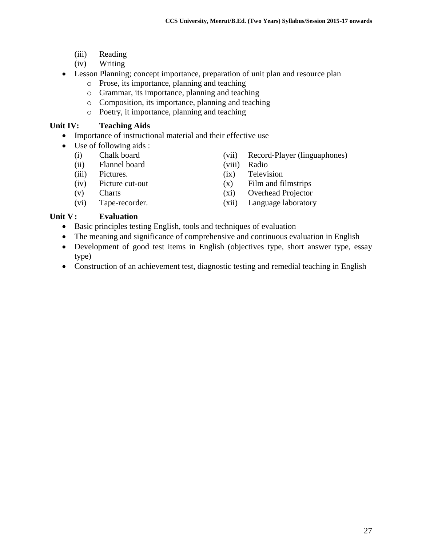- (iii) Reading
- (iv) Writing
- Lesson Planning; concept importance, preparation of unit plan and resource plan
	- o Prose, its importance, planning and teaching
	- o Grammar, its importance, planning and teaching
	- o Composition, its importance, planning and teaching
	- o Poetry, it importance, planning and teaching

#### **Unit IV: Teaching Aids**

- Importance of instructional material and their effective use
- Use of following aids :
	-
	- (ii) Flannel board (viii) Radio
	-
	- -
	- (i) Chalk board (vii) Record-Player (linguaphones)
		-
	- (iii) Pictures. (ix) Television
	- (iv) Picture cut-out (x) Film and filmstrips
	- (v) Charts (xi) Overhead Projector
	- (vi) Tape-recorder. (xii) Language laboratory

#### **Unit V: Evaluation**

- Basic principles testing English, tools and techniques of evaluation
- The meaning and significance of comprehensive and continuous evaluation in English
- Development of good test items in English (objectives type, short answer type, essay type)
- Construction of an achievement test, diagnostic testing and remedial teaching in English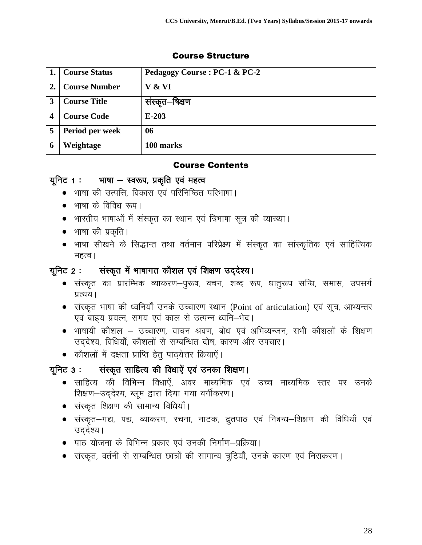## **1. Course Status Pedagogy Course : PC-1 & PC-2 2. Course Number V & VI** 3 | Course Title | संस्कृत–षिक्षण **4 Course Code E-203 5 Period per week 06 6 Weightage 100 marks**

## Course Structure

#### Course Contents

## यूनिट 1 : भाषा - स्वरूप, प्रकृति एवं महत्व

- भाषा की उत्पत्ति, विकास एवं परिनिष्ठित परिभाषा।
- $\bullet$  भाषा के विविध रूप।
- भारतीय भाषाओं में संस्कृत का स्थान एवं त्रिभाषा सूत्र की व्याख्या।
- $\bullet$  भाषा की प्रकृति।
- भाषा सीखने के सिद्धान्त तथा वर्तमान परिप्रेक्ष्य में संस्कृत का सांस्कृतिक एवं साहित्यिक महत्व ।

## गूनिट 2 : संस्कृत में भाषागत कौशल एवं शिक्षण उद्देश्य।

- संस्कृत का प्रारम्भिक व्याकरण–पुरूष, वचन, शब्द रूप, धातुरूप सन्धि, समास, उपसर्ग प्रत्यय ।
- $\bullet$  संस्कृत भाषा की ध्वनियाँ उनके उच्चारण स्थान (Point of articulation) एवं सूत्र, आभ्यन्तर एवं बाह्य प्रयत्न, समय एवं काल से उत्पन्न ध्वनि-भेद।
- $\bullet$  भाषायी कौशल उच्चारण, वाचन श्रवण, बोध एवं अभिव्यन्जन, सभी कौशलों के शिक्षण उददेश्य, विधियाँ, कौशलों से सम्बन्धित दोष, कारण और उपचार।
- कौशलों में दक्षता प्राप्ति हेत् पाठ्येत्तर क्रियाऐं।

## गूनिट 3 : संस्कृत साहित्य की विधाऐं एवं उनका शिक्षण।

- साहित्य की विभिन्न विधाऐं, अवर माध्यमिक एवं उच्च माध्यमिक स्तर पर उनके शिक्षण-उददेश्य, ब्लूम द्वारा दिया गया वर्गीकरण।
- $\bullet$  संस्कृत शिक्षण की सामान्य विधियाँ।
- संस्कृत—गद्य, पद्य, व्याकरण, रचना, नाटक, द्रुतपाठ एवं निबन्ध—शिक्षण की विधियाँ एवं उददेश्य।
- पाठ योजना के विभिन्न प्रकार एवं उनकी निर्माण–प्रक्रिया।
- संस्कृत, वर्तनी से सम्बन्धित छात्रों की सामान्य त्रूटियाँ, उनके कारण एवं निराकरण।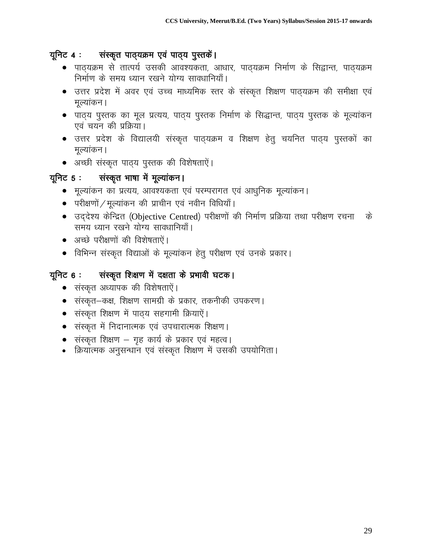## यूनिट 4 : संस्कृत पाठ्यक्रम एवं पाठ्य पुस्तकें।

- पाठ्यक्रम से तात्पर्य उसकी आवश्यकता, आधार, पाठ्यक्रम निर्माण के सिद्वान्त, पाठ्यक्रम निर्माण के समय ध्यान रखने योग्य सावधानियाँ।
- $\bullet$  उत्तर प्रदेश में अवर एवं उच्च माध्यमिक स्तर के संस्कृत शिक्षण पाठ्यक्रम की समीक्षा एवं मुल्यांकन ।
- पाठ्य पुस्तक का मूल प्रत्यय, पाठ्य पुस्तक निर्माण के सिद्धान्त, पाठ्य पुस्तक के मूल्यांकन एवं चयन की प्रक्रिया।
- उत्तर प्रदेश के विद्यालयी संस्कृत पाठ्यक्रम व शिक्षण हेतु चयनित पाठ्य पुस्तकों का मुल्यांकन ।
- $\bullet$  अच्छी संस्कृत पाठ्य पुस्तक की विशेषताऐं।

## यूनिट 5 : संस्कृत भाषा में मूल्यांकन।

- मूल्यांकन का प्रत्यय, आवश्यकता एवं परम्परागत एवं आधुनिक मूल्यांकन।
- $\bullet$  परीक्षणों / मूल्यांकन की प्राचीन एवं नवीन विधियाँ ।
- $\bullet$  उद्देश्य केन्द्रित (Objective Centred) परीक्षणों की निर्माण प्रक्रिया तथा परीक्षण रचना के समय ध्यान रखने योग्य सावधानियाँ।
- अच्छे परीक्षणों की विशेषताऐं।
- विभिन्न संस्कृत विद्याओं के मूल्यांकन हेतु परीक्षण एवं उनके प्रकार।

## गूनिट 6 : संस्कृत शिक्षण में दक्षता के प्रभावी घटक।

- $\bullet$  संस्कृत अध्यापक की विशेषताऐं।
- संस्कृत–कक्ष, शिक्षण सामग्री के प्रकार, तकनीकी उपकरण।
- संस्कृत शिक्षण में पाठ्य सहगामी क्रियाऐं।
- संस्कृत में निदानात्मक एवं उपचारात्मक शिक्षण।
- $\bullet$  संस्कृत शिक्षण गृह कार्य के प्रकार एवं महत्व।
- क्रियात्मक अनुसन्धान एवं संस्कृत शिक्षण में उसकी उपयोगिता।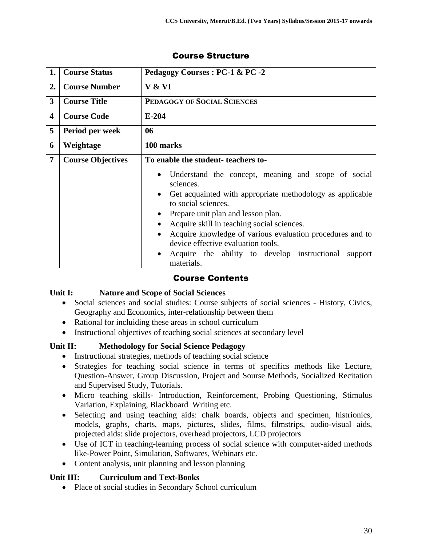| 1.                      | <b>Course Status</b>     | Pedagogy Courses : PC-1 & PC -2                                                                                                                                                                                                                                                                                                                                                                                                                             |
|-------------------------|--------------------------|-------------------------------------------------------------------------------------------------------------------------------------------------------------------------------------------------------------------------------------------------------------------------------------------------------------------------------------------------------------------------------------------------------------------------------------------------------------|
| 2.                      | <b>Course Number</b>     | V & VI                                                                                                                                                                                                                                                                                                                                                                                                                                                      |
| $\mathbf{3}$            | <b>Course Title</b>      | PEDAGOGY OF SOCIAL SCIENCES                                                                                                                                                                                                                                                                                                                                                                                                                                 |
| $\overline{\mathbf{4}}$ | <b>Course Code</b>       | $E-204$                                                                                                                                                                                                                                                                                                                                                                                                                                                     |
| 5                       | Period per week          | 06                                                                                                                                                                                                                                                                                                                                                                                                                                                          |
| 6                       | Weightage                | 100 marks                                                                                                                                                                                                                                                                                                                                                                                                                                                   |
| $\overline{7}$          | <b>Course Objectives</b> | To enable the student-teachers to-                                                                                                                                                                                                                                                                                                                                                                                                                          |
|                         |                          | Understand the concept, meaning and scope of social<br>$\bullet$<br>sciences.<br>Get acquainted with appropriate methodology as applicable<br>$\bullet$<br>to social sciences.<br>Prepare unit plan and lesson plan.<br>Acquire skill in teaching social sciences.<br>Acquire knowledge of various evaluation procedures and to<br>device effective evaluation tools.<br>Acquire the ability to develop instructional<br>support<br>$\bullet$<br>materials. |

## Course Contents

#### **Unit I: Nature and Scope of Social Sciences**

- Social sciences and social studies: Course subjects of social sciences History, Civics, Geography and Economics, inter-relationship between them
- Rational for incluiding these areas in school curriculum
- Instructional objectives of teaching social sciences at secondary level

## **Unit II: Methodology for Social Science Pedagogy**

- Instructional strategies, methods of teaching social science
- Strategies for teaching social science in terms of specifics methods like Lecture, Question-Answer, Group Discussion, Project and Sourse Methods, Socialized Recitation and Supervised Study, Tutorials.
- Micro teaching skills- Introduction, Reinforcement, Probing Questioning, Stimulus Variation, Explaining, Blackboard Writing etc.
- Selecting and using teaching aids: chalk boards, objects and specimen, histrionics, models, graphs, charts, maps, pictures, slides, films, filmstrips, audio-visual aids, projected aids: slide projectors, overhead projectors, LCD projectors
- Use of ICT in teaching-learning process of social science with computer-aided methods like-Power Point, Simulation, Softwares, Webinars etc.
- Content analysis, unit planning and lesson planning

#### **Unit III: Curriculum and Text-Books**

• Place of social studies in Secondary School curriculum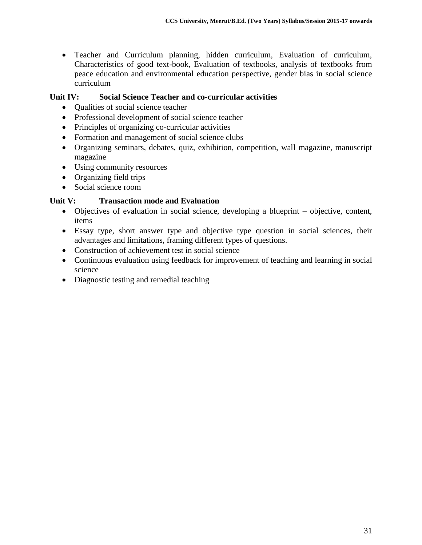Teacher and Curriculum planning, hidden curriculum, Evaluation of curriculum, Characteristics of good text-book, Evaluation of textbooks, analysis of textbooks from peace education and environmental education perspective, gender bias in social science curriculum

### **Unit IV: Social Science Teacher and co-curricular activities**

- Qualities of social science teacher
- Professional development of social science teacher
- Principles of organizing co-curricular activities
- Formation and management of social science clubs
- Organizing seminars, debates, quiz, exhibition, competition, wall magazine, manuscript magazine
- Using community resources
- Organizing field trips
- Social science room

#### **Unit V: Transaction mode and Evaluation**

- Objectives of evaluation in social science, developing a blueprint objective, content, items
- Essay type, short answer type and objective type question in social sciences, their advantages and limitations, framing different types of questions.
- Construction of achievement test in social science
- Continuous evaluation using feedback for improvement of teaching and learning in social science
- Diagnostic testing and remedial teaching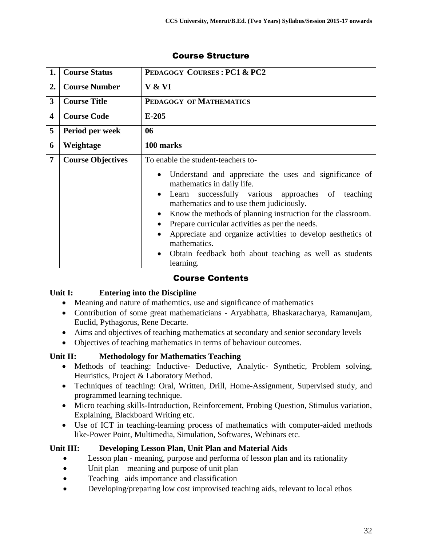| 1.                      | <b>Course Status</b>     | PEDAGOGY COURSES: PC1 & PC2                                                                                                                                                                                                                                                                                                                                                                                                                                                                                                       |
|-------------------------|--------------------------|-----------------------------------------------------------------------------------------------------------------------------------------------------------------------------------------------------------------------------------------------------------------------------------------------------------------------------------------------------------------------------------------------------------------------------------------------------------------------------------------------------------------------------------|
| 2.                      | <b>Course Number</b>     | V & VI                                                                                                                                                                                                                                                                                                                                                                                                                                                                                                                            |
| $\overline{\mathbf{3}}$ | <b>Course Title</b>      | PEDAGOGY OF MATHEMATICS                                                                                                                                                                                                                                                                                                                                                                                                                                                                                                           |
| $\overline{\mathbf{4}}$ | <b>Course Code</b>       | $E-205$                                                                                                                                                                                                                                                                                                                                                                                                                                                                                                                           |
| 5                       | Period per week          | 06                                                                                                                                                                                                                                                                                                                                                                                                                                                                                                                                |
| 6                       | Weightage                | 100 marks                                                                                                                                                                                                                                                                                                                                                                                                                                                                                                                         |
| $\overline{7}$          | <b>Course Objectives</b> | To enable the student-teachers to-<br>Understand and appreciate the uses and significance of<br>$\bullet$<br>mathematics in daily life.<br>successfully various approaches of teaching<br>Learn<br>$\bullet$<br>mathematics and to use them judiciously.<br>Know the methods of planning instruction for the classroom.<br>Prepare curricular activities as per the needs.<br>Appreciate and organize activities to develop aesthetics of<br>mathematics.<br>Obtain feedback both about teaching as well as students<br>learning. |

## Course Contents

#### **Unit I: Entering into the Discipline**

- Meaning and nature of mathemtics, use and significance of mathematics
- Contribution of some great mathematicians Aryabhatta, Bhaskaracharya, Ramanujam, Euclid, Pythagorus, Rene Decarte.
- Aims and objectives of teaching mathematics at secondary and senior secondary levels
- Objectives of teaching mathematics in terms of behaviour outcomes.

#### **Unit II: Methodology for Mathematics Teaching**

- Methods of teaching: Inductive- Deductive, Analytic- Synthetic, Problem solving, Heuristics, Project & Laboratory Method.
- Techniques of teaching: Oral, Written, Drill, Home-Assignment, Supervised study, and programmed learning technique.
- Micro teaching skills-Introduction, Reinforcement, Probing Question, Stimulus variation, Explaining, Blackboard Writing etc.
- Use of ICT in teaching-learning process of mathematics with computer-aided methods like-Power Point, Multimedia, Simulation, Softwares, Webinars etc.

#### **Unit III: Developing Lesson Plan, Unit Plan and Material Aids**

- Lesson plan meaning, purpose and performa of lesson plan and its rationality
- Unit plan meaning and purpose of unit plan
- Teaching –aids importance and classification
- Developing/preparing low cost improvised teaching aids, relevant to local ethos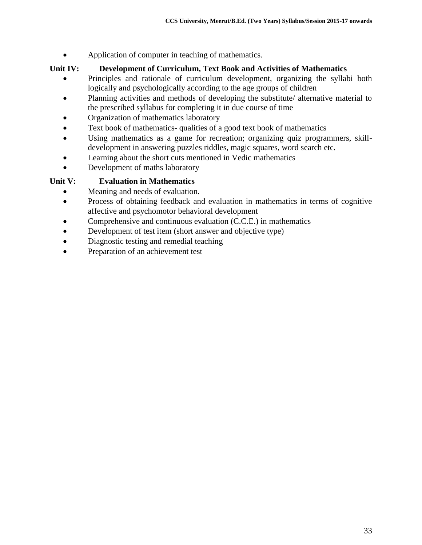• Application of computer in teaching of mathematics.

## **Unit IV: Development of Curriculum, Text Book and Activities of Mathematics**

- Principles and rationale of curriculum development, organizing the syllabi both logically and psychologically according to the age groups of children
- Planning activities and methods of developing the substitute/ alternative material to the prescribed syllabus for completing it in due course of time
- Organization of mathematics laboratory
- Text book of mathematics- qualities of a good text book of mathematics
- Using mathematics as a game for recreation; organizing quiz programmers, skilldevelopment in answering puzzles riddles, magic squares, word search etc.
- Learning about the short cuts mentioned in Vedic mathematics
- Development of maths laboratory

## **Unit V: Evaluation in Mathematics**

- Meaning and needs of evaluation.
- Process of obtaining feedback and evaluation in mathematics in terms of cognitive affective and psychomotor behavioral development
- Comprehensive and continuous evaluation (C.C.E.) in mathematics
- Development of test item (short answer and objective type)
- Diagnostic testing and remedial teaching
- Preparation of an achievement test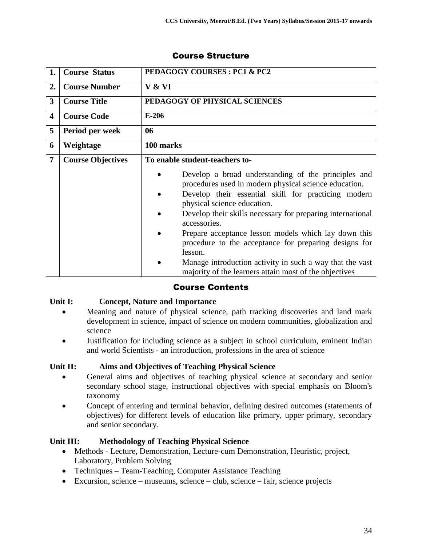| 1.                      | <b>Course Status</b>     | <b>PEDAGOGY COURSES: PC1 &amp; PC2</b>                                                                                                                                                                                                                                                                                                                                                                                                                                                                                             |
|-------------------------|--------------------------|------------------------------------------------------------------------------------------------------------------------------------------------------------------------------------------------------------------------------------------------------------------------------------------------------------------------------------------------------------------------------------------------------------------------------------------------------------------------------------------------------------------------------------|
| 2.                      | <b>Course Number</b>     | V & VI                                                                                                                                                                                                                                                                                                                                                                                                                                                                                                                             |
| $\overline{3}$          | <b>Course Title</b>      | PEDAGOGY OF PHYSICAL SCIENCES                                                                                                                                                                                                                                                                                                                                                                                                                                                                                                      |
| $\overline{\mathbf{4}}$ | <b>Course Code</b>       | $E-206$                                                                                                                                                                                                                                                                                                                                                                                                                                                                                                                            |
| 5                       | Period per week          | 06                                                                                                                                                                                                                                                                                                                                                                                                                                                                                                                                 |
| 6                       | Weightage                | 100 marks                                                                                                                                                                                                                                                                                                                                                                                                                                                                                                                          |
| 7                       | <b>Course Objectives</b> | To enable student-teachers to-                                                                                                                                                                                                                                                                                                                                                                                                                                                                                                     |
|                         |                          | Develop a broad understanding of the principles and<br>procedures used in modern physical science education.<br>Develop their essential skill for practicing modern<br>physical science education.<br>Develop their skills necessary for preparing international<br>accessories.<br>Prepare acceptance lesson models which lay down this<br>procedure to the acceptance for preparing designs for<br>lesson.<br>Manage introduction activity in such a way that the vast<br>majority of the learners attain most of the objectives |

## Course Contents

#### **Unit I: Concept, Nature and Importance**

- Meaning and nature of physical science, path tracking discoveries and land mark development in science, impact of science on modern communities, globalization and science
- Justification for including science as a subject in school curriculum, eminent Indian and world Scientists - an introduction, professions in the area of science

#### **Unit II: Aims and Objectives of Teaching Physical Science**

- General aims and objectives of teaching physical science at secondary and senior secondary school stage, instructional objectives with special emphasis on Bloom's taxonomy
- Concept of entering and terminal behavior, defining desired outcomes (statements of objectives) for different levels of education like primary, upper primary, secondary and senior secondary.

#### **Unit III: Methodology of Teaching Physical Science**

- Methods Lecture, Demonstration, Lecture-cum Demonstration, Heuristic, project, Laboratory, Problem Solving
- Techniques Team-Teaching, Computer Assistance Teaching
- Excursion, science museums, science club, science fair, science projects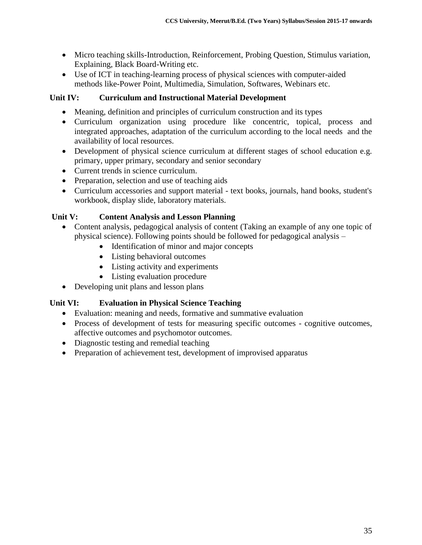- Micro teaching skills-Introduction, Reinforcement, Probing Question, Stimulus variation, Explaining, Black Board-Writing etc.
- Use of ICT in teaching-learning process of physical sciences with computer-aided methods like-Power Point, Multimedia, Simulation, Softwares, Webinars etc.

### **Unit IV: Curriculum and Instructional Material Development**

- Meaning, definition and principles of curriculum construction and its types
- Curriculum organization using procedure like concentric, topical, process and integrated approaches, adaptation of the curriculum according to the local needs and the availability of local resources.
- Development of physical science curriculum at different stages of school education e.g. primary, upper primary, secondary and senior secondary
- Current trends in science curriculum.
- Preparation, selection and use of teaching aids
- Curriculum accessories and support material text books, journals, hand books, student's workbook, display slide, laboratory materials.

#### **Unit V: Content Analysis and Lesson Planning**

- Content analysis, pedagogical analysis of content (Taking an example of any one topic of physical science). Following points should be followed for pedagogical analysis –
	- Identification of minor and major concepts
	- Listing behavioral outcomes
	- Listing activity and experiments
	- Listing evaluation procedure
- Developing unit plans and lesson plans

## **Unit VI: Evaluation in Physical Science Teaching**

- Evaluation: meaning and needs, formative and summative evaluation
- Process of development of tests for measuring specific outcomes cognitive outcomes, affective outcomes and psychomotor outcomes.
- Diagnostic testing and remedial teaching
- Preparation of achievement test, development of improvised apparatus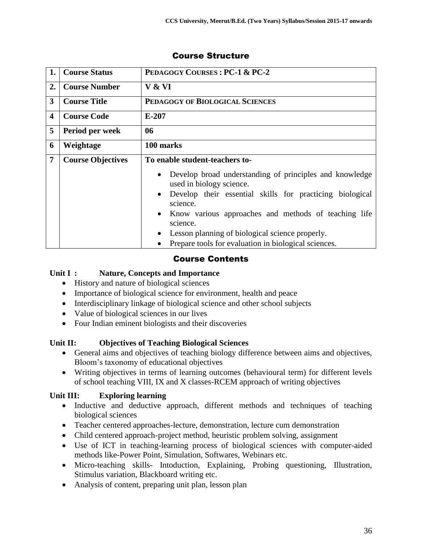| 1.             | <b>Course Status</b>     | PEDAGOGY COURSES: PC-1 & PC-2                                                                                                                                                                                                                                                                                                                                                     |
|----------------|--------------------------|-----------------------------------------------------------------------------------------------------------------------------------------------------------------------------------------------------------------------------------------------------------------------------------------------------------------------------------------------------------------------------------|
| 2.             | <b>Course Number</b>     | V & VI                                                                                                                                                                                                                                                                                                                                                                            |
| 3              | <b>Course Title</b>      | PEDAGOGY OF BIOLOGICAL SCIENCES                                                                                                                                                                                                                                                                                                                                                   |
| 4              | <b>Course Code</b>       | $E-207$                                                                                                                                                                                                                                                                                                                                                                           |
| 5              | Period per week          | 06                                                                                                                                                                                                                                                                                                                                                                                |
| 6              | Weightage                | 100 marks                                                                                                                                                                                                                                                                                                                                                                         |
| $\overline{7}$ | <b>Course Objectives</b> | To enable student-teachers to-                                                                                                                                                                                                                                                                                                                                                    |
|                |                          | Develop broad understanding of principles and knowledge<br>$\bullet$<br>used in biology science.<br>Develop their essential skills for practicing biological<br>$\bullet$<br>science.<br>Know various approaches and methods of teaching life<br>$\bullet$<br>science.<br>Lesson planning of biological science properly.<br>Prepare tools for evaluation in biological sciences. |

## Course Contents

## **Unit I : Nature, Concepts and Importance**

- History and nature of biological sciences
- Importance of biological science for environment, health and peace
- Interdisciplinary linkage of biological science and other school subjects
- Value of biological sciences in our lives
- Four Indian eminent biologists and their discoveries

## **Unit II: Objectives of Teaching Biological Sciences**

- General aims and objectives of teaching biology difference between aims and objectives, Bloom's taxonomy of educational objectives
- Writing objectives in terms of learning outcomes (behavioural term) for different levels of school teaching VIII, IX and X classes-RCEM approach of writing objectives

## **Unit III: Exploring learning**

- Inductive and deductive approach, different methods and techniques of teaching biological sciences
- Teacher centered approaches-lecture, demonstration, lecture cum demonstration
- Child centered approach-project method, heuristic problem solving, assignment
- Use of ICT in teaching-learning process of biological sciences with computer-aided methods like-Power Point, Simulation, Softwares, Webinars etc.
- Micro-teaching skills- Intoduction, Explaining, Probing questioning, Illustration, Stimulus variation, Blackboard writing etc.
- Analysis of content, preparing unit plan, lesson plan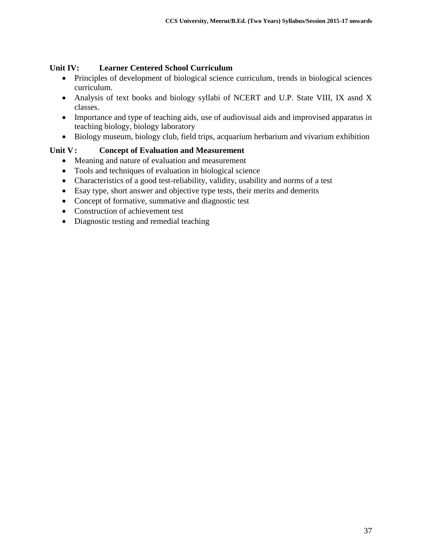## **Unit IV: Learner Centered School Curriculum**

- Principles of development of biological science curriculum, trends in biological sciences curriculum.
- Analysis of text books and biology syllabi of NCERT and U.P. State VIII, IX asnd X classes.
- Importance and type of teaching aids, use of audiovisual aids and improvised apparatus in teaching biology, biology laboratory
- Biology museum, biology club, field trips, acquarium herbarium and vivarium exhibition

## **Unit V: Concept of Evaluation and Measurement**

- Meaning and nature of evaluation and measurement
- Tools and techniques of evaluation in biological science
- Characteristics of a good test-reliability, validity, usability and norms of a test
- Esay type, short answer and objective type tests, their merits and demerits
- Concept of formative, summative and diagnostic test
- Construction of achievement test
- Diagnostic testing and remedial teaching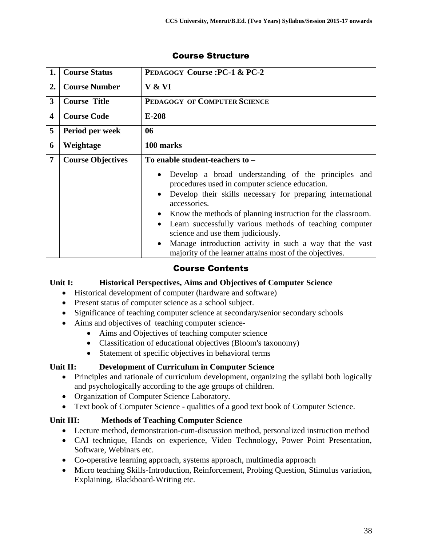| 1.                      | <b>Course Status</b>     | PEDAGOGY Course: PC-1 & PC-2                                                                                                                                                                                                                                                                                                                       |
|-------------------------|--------------------------|----------------------------------------------------------------------------------------------------------------------------------------------------------------------------------------------------------------------------------------------------------------------------------------------------------------------------------------------------|
| 2.                      | <b>Course Number</b>     | V & VI                                                                                                                                                                                                                                                                                                                                             |
| 3                       | <b>Course Title</b>      | PEDAGOGY OF COMPUTER SCIENCE                                                                                                                                                                                                                                                                                                                       |
| $\overline{\mathbf{4}}$ | <b>Course Code</b>       | $E-208$                                                                                                                                                                                                                                                                                                                                            |
| 5                       | Period per week          | 06                                                                                                                                                                                                                                                                                                                                                 |
| 6                       | Weightage                | 100 marks                                                                                                                                                                                                                                                                                                                                          |
| $\overline{7}$          | <b>Course Objectives</b> | To enable student-teachers to -                                                                                                                                                                                                                                                                                                                    |
|                         |                          | Develop a broad understanding of the principles and<br>procedures used in computer science education.<br>Develop their skills necessary for preparing international<br>accessories.<br>Know the methods of planning instruction for the classroom.<br>Learn successfully various methods of teaching computer<br>science and use them judiciously. |
|                         |                          | Manage introduction activity in such a way that the vast<br>$\bullet$<br>majority of the learner attains most of the objectives.                                                                                                                                                                                                                   |

## Course Contents

#### **Unit I: Historical Perspectives, Aims and Objectives of Computer Science**

- Historical development of computer (hardware and software)
- Present status of computer science as a school subject.
- Significance of teaching computer science at secondary/senior secondary schools
- Aims and objectives of teaching computer science-
	- Aims and Objectives of teaching computer science
	- Classification of educational objectives (Bloom's taxonomy)
	- Statement of specific objectives in behavioral terms

## **Unit II: Development of Curriculum in Computer Science**

- Principles and rationale of curriculum development, organizing the syllabi both logically and psychologically according to the age groups of children.
- Organization of Computer Science Laboratory.
- Text book of Computer Science qualities of a good text book of Computer Science.

## **Unit III: Methods of Teaching Computer Science**

- Lecture method, demonstration-cum-discussion method, personalized instruction method
- CAI technique, Hands on experience, Video Technology, Power Point Presentation, Software, Webinars etc.
- Co-operative learning approach, systems approach, multimedia approach
- Micro teaching Skills-Introduction, Reinforcement, Probing Question, Stimulus variation, Explaining, Blackboard-Writing etc.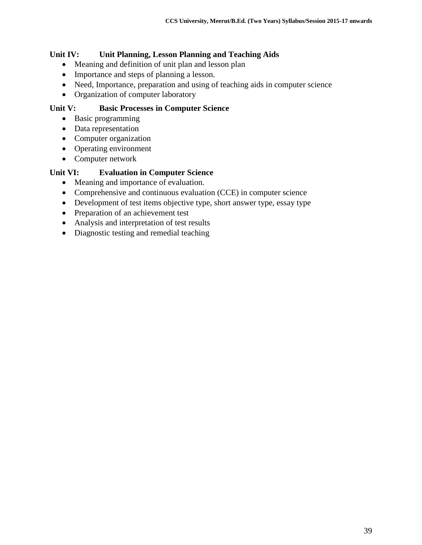### **Unit IV: Unit Planning, Lesson Planning and Teaching Aids**

- Meaning and definition of unit plan and lesson plan
- Importance and steps of planning a lesson.
- Need, Importance, preparation and using of teaching aids in computer science
- Organization of computer laboratory

### **Unit V: Basic Processes in Computer Science**

- Basic programming
- Data representation
- Computer organization
- Operating environment
- Computer network

#### **Unit VI: Evaluation in Computer Science**

- Meaning and importance of evaluation.
- Comprehensive and continuous evaluation (CCE) in computer science
- Development of test items objective type, short answer type, essay type
- Preparation of an achievement test
- Analysis and interpretation of test results
- Diagnostic testing and remedial teaching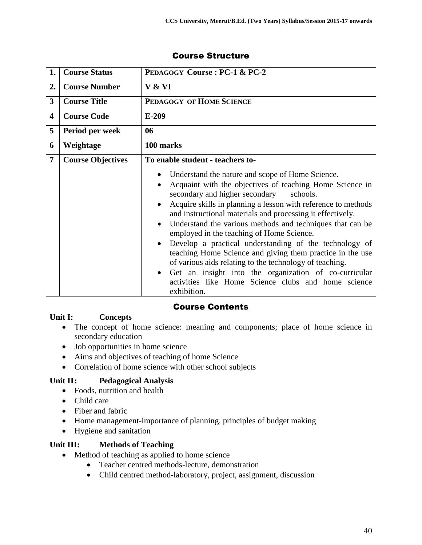| 1.                      | <b>Course Status</b>     | PEDAGOGY Course: PC-1 & PC-2                                                                                                                                                                                                                                                                                                                                                                                                                                                                                                                                                                                                                                                                                                                                |
|-------------------------|--------------------------|-------------------------------------------------------------------------------------------------------------------------------------------------------------------------------------------------------------------------------------------------------------------------------------------------------------------------------------------------------------------------------------------------------------------------------------------------------------------------------------------------------------------------------------------------------------------------------------------------------------------------------------------------------------------------------------------------------------------------------------------------------------|
| 2.                      | <b>Course Number</b>     | V & VI                                                                                                                                                                                                                                                                                                                                                                                                                                                                                                                                                                                                                                                                                                                                                      |
| 3                       | <b>Course Title</b>      | PEDAGOGY OF HOME SCIENCE                                                                                                                                                                                                                                                                                                                                                                                                                                                                                                                                                                                                                                                                                                                                    |
| $\overline{\mathbf{4}}$ | <b>Course Code</b>       | $E-209$                                                                                                                                                                                                                                                                                                                                                                                                                                                                                                                                                                                                                                                                                                                                                     |
| 5                       | Period per week          | 06                                                                                                                                                                                                                                                                                                                                                                                                                                                                                                                                                                                                                                                                                                                                                          |
| 6                       | Weightage                | 100 marks                                                                                                                                                                                                                                                                                                                                                                                                                                                                                                                                                                                                                                                                                                                                                   |
| 7                       | <b>Course Objectives</b> | To enable student - teachers to-                                                                                                                                                                                                                                                                                                                                                                                                                                                                                                                                                                                                                                                                                                                            |
|                         |                          | Understand the nature and scope of Home Science.<br>Acquaint with the objectives of teaching Home Science in<br>$\bullet$<br>secondary and higher secondary<br>schools.<br>Acquire skills in planning a lesson with reference to methods<br>and instructional materials and processing it effectively.<br>Understand the various methods and techniques that can be<br>$\bullet$<br>employed in the teaching of Home Science.<br>Develop a practical understanding of the technology of<br>$\bullet$<br>teaching Home Science and giving them practice in the use<br>of various aids relating to the technology of teaching.<br>Get an insight into the organization of co-curricular<br>activities like Home Science clubs and home science<br>exhibition. |

## Course Contents

#### **Unit I: Concepts**

- The concept of home science: meaning and components; place of home science in secondary education
- Job opportunities in home science
- Aims and objectives of teaching of home Science
- Correlation of home science with other school subjects

## **Unit II: Pedagogical Analysis**

- Foods, nutrition and health
- Child care
- Fiber and fabric
- Home management-importance of planning, principles of budget making
- Hygiene and sanitation

#### **Unit III: Methods of Teaching**

- Method of teaching as applied to home science
	- Teacher centred methods-lecture, demonstration
	- Child centred method-laboratory, project, assignment, discussion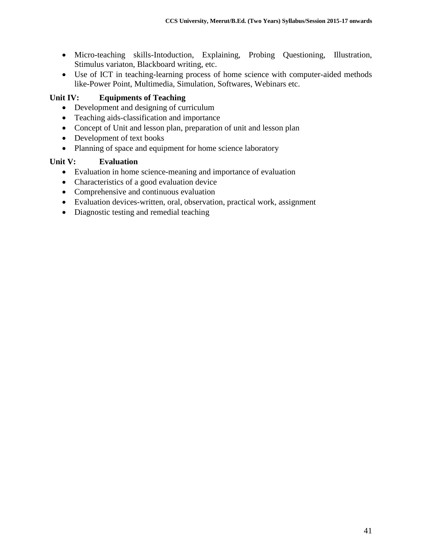- Micro-teaching skills-Intoduction, Explaining, Probing Questioning, Illustration, Stimulus variaton, Blackboard writing, etc.
- Use of ICT in teaching-learning process of home science with computer-aided methods like-Power Point, Multimedia, Simulation, Softwares, Webinars etc.

## **Unit IV: Equipments of Teaching**

- Development and designing of curriculum
- Teaching aids-classification and importance
- Concept of Unit and lesson plan, preparation of unit and lesson plan
- Development of text books
- Planning of space and equipment for home science laboratory

## **Unit V: Evaluation**

- Evaluation in home science-meaning and importance of evaluation
- Characteristics of a good evaluation device
- Comprehensive and continuous evaluation
- Evaluation devices-written, oral, observation, practical work, assignment
- Diagnostic testing and remedial teaching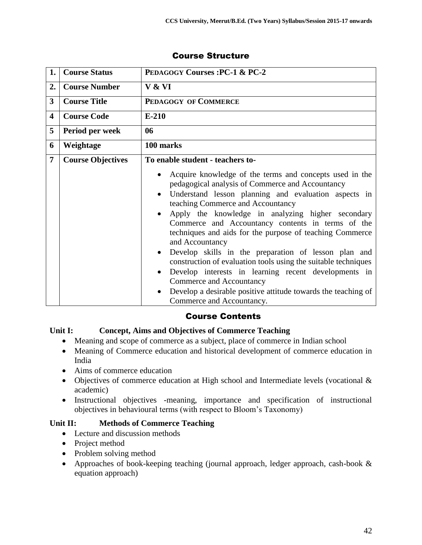| 1.                      | <b>Course Status</b>     | <b>PEDAGOGY Courses: PC-1 &amp; PC-2</b>                                                                                                                                                                                                                                                                                                                                                                                                                                                                                                                                                                                                          |
|-------------------------|--------------------------|---------------------------------------------------------------------------------------------------------------------------------------------------------------------------------------------------------------------------------------------------------------------------------------------------------------------------------------------------------------------------------------------------------------------------------------------------------------------------------------------------------------------------------------------------------------------------------------------------------------------------------------------------|
| 2.                      | <b>Course Number</b>     | V & VI                                                                                                                                                                                                                                                                                                                                                                                                                                                                                                                                                                                                                                            |
| $\mathbf{3}$            | <b>Course Title</b>      | PEDAGOGY OF COMMERCE                                                                                                                                                                                                                                                                                                                                                                                                                                                                                                                                                                                                                              |
| $\overline{\mathbf{4}}$ | <b>Course Code</b>       | $E-210$                                                                                                                                                                                                                                                                                                                                                                                                                                                                                                                                                                                                                                           |
| 5                       | Period per week          | 06                                                                                                                                                                                                                                                                                                                                                                                                                                                                                                                                                                                                                                                |
| 6                       | Weightage                | 100 marks                                                                                                                                                                                                                                                                                                                                                                                                                                                                                                                                                                                                                                         |
| $\overline{7}$          | <b>Course Objectives</b> | To enable student - teachers to-<br>Acquire knowledge of the terms and concepts used in the<br>pedagogical analysis of Commerce and Accountancy<br>Understand lesson planning and evaluation aspects in<br>teaching Commerce and Accountancy<br>Apply the knowledge in analyzing higher secondary<br>Commerce and Accountancy contents in terms of the<br>techniques and aids for the purpose of teaching Commerce<br>and Accountancy<br>Develop skills in the preparation of lesson plan and<br>$\bullet$<br>construction of evaluation tools using the suitable techniques<br>Develop interests in learning recent developments in<br>$\bullet$ |
|                         |                          | Commerce and Accountancy<br>Develop a desirable positive attitude towards the teaching of<br>Commerce and Accountancy.                                                                                                                                                                                                                                                                                                                                                                                                                                                                                                                            |

## Course Contents

#### **Unit I: Concept, Aims and Objectives of Commerce Teaching**

- Meaning and scope of commerce as a subject, place of commerce in Indian school
- Meaning of Commerce education and historical development of commerce education in India
- Aims of commerce education
- Objectives of commerce education at High school and Intermediate levels (vocational & academic)
- Instructional objectives -meaning, importance and specification of instructional objectives in behavioural terms (with respect to Bloom's Taxonomy)

#### **Unit II: Methods of Commerce Teaching**

- Lecture and discussion methods
- Project method
- Problem solving method
- Approaches of book-keeping teaching (journal approach, ledger approach, cash-book & equation approach)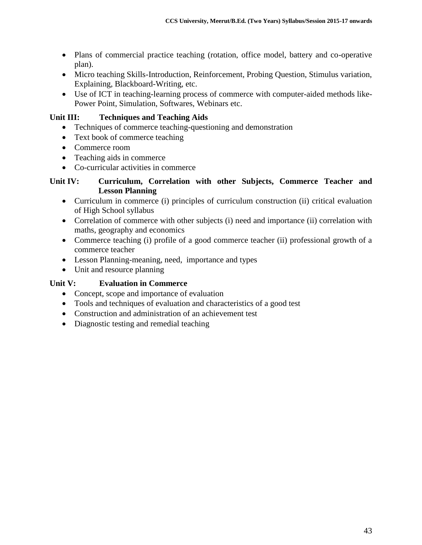- Plans of commercial practice teaching (rotation, office model, battery and co-operative plan).
- Micro teaching Skills-Introduction, Reinforcement, Probing Question, Stimulus variation, Explaining, Blackboard-Writing, etc.
- Use of ICT in teaching-learning process of commerce with computer-aided methods like-Power Point, Simulation, Softwares, Webinars etc.

## **Unit III: Techniques and Teaching Aids**

- Techniques of commerce teaching-questioning and demonstration
- Text book of commerce teaching
- Commerce room
- Teaching aids in commerce
- Co-curricular activities in commerce

#### **Unit IV: Curriculum, Correlation with other Subjects, Commerce Teacher and Lesson Planning**

- Curriculum in commerce (i) principles of curriculum construction (ii) critical evaluation of High School syllabus
- Correlation of commerce with other subjects (i) need and importance (ii) correlation with maths, geography and economics
- Commerce teaching (i) profile of a good commerce teacher (ii) professional growth of a commerce teacher
- Lesson Planning-meaning, need, importance and types
- Unit and resource planning

## **Unit V: Evaluation in Commerce**

- Concept, scope and importance of evaluation
- Tools and techniques of evaluation and characteristics of a good test
- Construction and administration of an achievement test
- Diagnostic testing and remedial teaching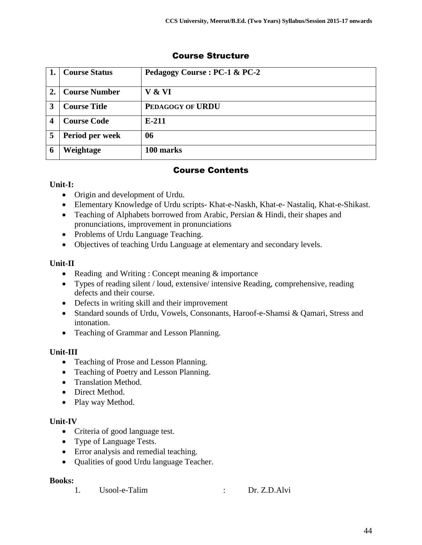|   | Course Status       | Pedagogy Course : PC-1 & PC-2 |
|---|---------------------|-------------------------------|
|   | Course Number       | V & VI                        |
|   | <b>Course Title</b> | PEDAGOGY OF URDU              |
|   | <b>Course Code</b>  | $E-211$                       |
|   | Period per week     | 06                            |
| 6 | Weightage           | 100 marks                     |

## Course Contents

## **Unit-I:**

- Origin and development of Urdu.
- Elementary Knowledge of Urdu scripts- Khat-e-Naskh, Khat-e- Nastaliq, Khat-e-Shikast.
- Teaching of Alphabets borrowed from Arabic, Persian & Hindi, their shapes and pronunciations, improvement in pronunciations
- Problems of Urdu Language Teaching.
- Objectives of teaching Urdu Language at elementary and secondary levels.

## **Unit-II**

- Reading and Writing : Concept meaning & importance
- Types of reading silent / loud, extensive/ intensive Reading, comprehensive, reading defects and their course.
- Defects in writing skill and their improvement
- Standard sounds of Urdu, Vowels, Consonants, Haroof-e-Shamsi & Qamari, Stress and intonation.
- Teaching of Grammar and Lesson Planning.

## **Unit-III**

- Teaching of Prose and Lesson Planning.
- Teaching of Poetry and Lesson Planning.
- Translation Method.
- Direct Method.
- Play way Method.

## **Unit-IV**

- Criteria of good language test.
- Type of Language Tests.
- Error analysis and remedial teaching.
- Qualities of good Urdu language Teacher.

## **Books:**

1. Usool-e-Talim : Dr. Z.D.Alvi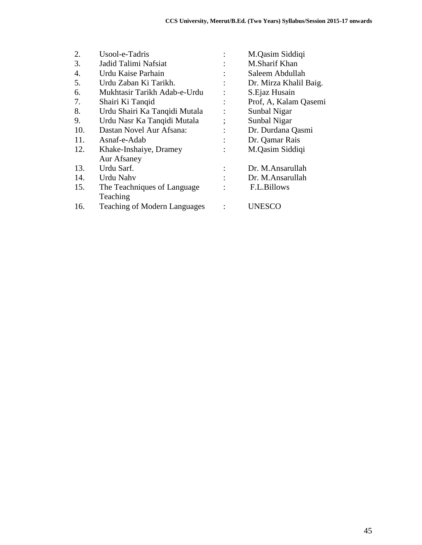| 2.  | Usool-e-Tadris                      | M.Qasim Siddiqi        |
|-----|-------------------------------------|------------------------|
| 3.  | Jadid Talimi Nafsiat                | M.Sharif Khan          |
| 4.  | Urdu Kaise Parhain                  | Saleem Abdullah        |
| 5.  | Urdu Zaban Ki Tarikh.               | Dr. Mirza Khalil Baig. |
| 6.  | Mukhtasir Tarikh Adab-e-Urdu        | S.Ejaz Husain          |
| 7.  | Shairi Ki Tanqid                    | Prof, A, Kalam Qasemi  |
| 8.  | Urdu Shairi Ka Tanqidi Mutala       | Sunbal Nigar           |
| 9.  | Urdu Nasr Ka Tanqidi Mutala         | Sunbal Nigar           |
| 10. | Dastan Novel Aur Afsana:            | Dr. Durdana Qasmi      |
| 11. | Asnaf-e-Adab                        | Dr. Qamar Rais         |
| 12. | Khake-Inshaiye, Dramey              | M.Qasim Siddiqi        |
|     | Aur Afsaney                         |                        |
| 13. | Urdu Sarf.                          | Dr. M.Ansarullah       |
| 14. | Urdu Nahv                           | Dr. M.Ansarullah       |
| 15. | The Teachniques of Language         | F.L.Billows            |
|     | Teaching                            |                        |
| 16. | <b>Teaching of Modern Languages</b> | UNESCO                 |
|     |                                     |                        |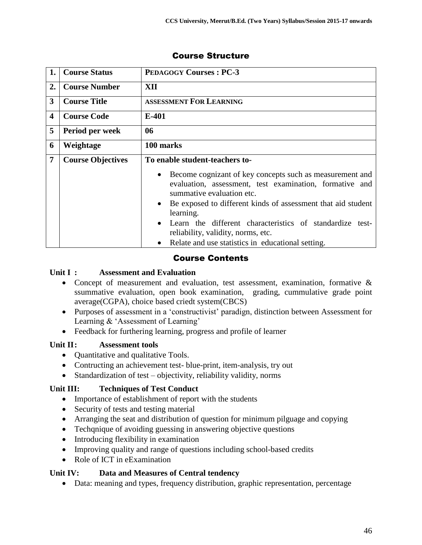| 1. | <b>Course Status</b>     | <b>PEDAGOGY Courses: PC-3</b>                                                                                                                    |
|----|--------------------------|--------------------------------------------------------------------------------------------------------------------------------------------------|
| 2. | <b>Course Number</b>     | XII                                                                                                                                              |
| 3  | <b>Course Title</b>      | <b>ASSESSMENT FOR LEARNING</b>                                                                                                                   |
| 4  | <b>Course Code</b>       | $E-401$                                                                                                                                          |
| 5  | Period per week          | 06                                                                                                                                               |
| 6  | Weightage                | 100 marks                                                                                                                                        |
| 7  | <b>Course Objectives</b> | To enable student-teachers to-                                                                                                                   |
|    |                          | Become cognizant of key concepts such as measurement and<br>evaluation, assessment, test examination, formative and<br>summative evaluation etc. |
|    |                          | Be exposed to different kinds of assessment that aid student<br>$\bullet$<br>learning.                                                           |
|    |                          | Learn the different characteristics of standardize test-<br>$\bullet$<br>reliability, validity, norms, etc.                                      |
|    |                          | Relate and use statistics in educational setting.                                                                                                |

## Course Contents

#### **Unit I : Assessment and Evaluation**

- Concept of measurement and evaluation, test assessment, examination, formative & ssummative evaluation, open book examination, grading, cummulative grade point average(CGPA), choice based criedt system(CBCS)
- Purposes of assessment in a 'constructivist' paradign, distinction between Assessment for Learning & 'Assessment of Learning'
- Feedback for furthering learning, progress and profile of learner

#### **Unit II: Assessment tools**

- Quantitative and qualitative Tools.
- Contructing an achievement test- blue-print, item-analysis, try out
- Standardization of test objectivity, reliability validity, norms

#### **Unit III: Techniques of Test Conduct**

- Importance of establishment of report with the students
- Security of tests and testing material
- Arranging the seat and distribution of question for minimum pilguage and copying
- Techqnique of avoiding guessing in answering objective questions
- Introducing flexibility in examination
- Improving quality and range of questions including school-based credits
- Role of ICT in eExamination

#### **Unit IV: Data and Measures of Central tendency**

Data: meaning and types, frequency distribution, graphic representation, percentage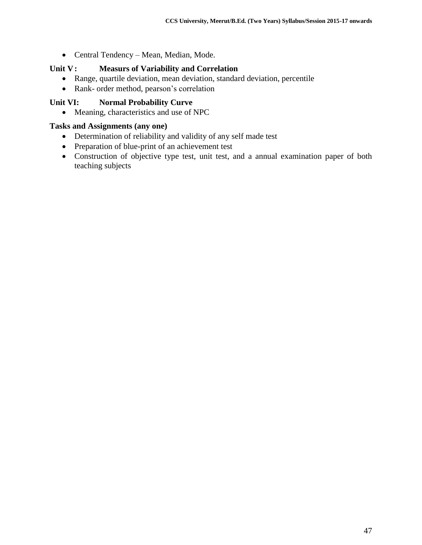Central Tendency – Mean, Median, Mode.

#### **Unit V: Measurs of Variability and Correlation**

- Range, quartile deviation, mean deviation, standard deviation, percentile
- Rank- order method, pearson's correlation

#### **Unit VI: Normal Probability Curve**

Meaning, characteristics and use of NPC

#### **Tasks and Assignments (any one)**

- Determination of reliability and validity of any self made test
- Preparation of blue-print of an achievement test
- Construction of objective type test, unit test, and a annual examination paper of both teaching subjects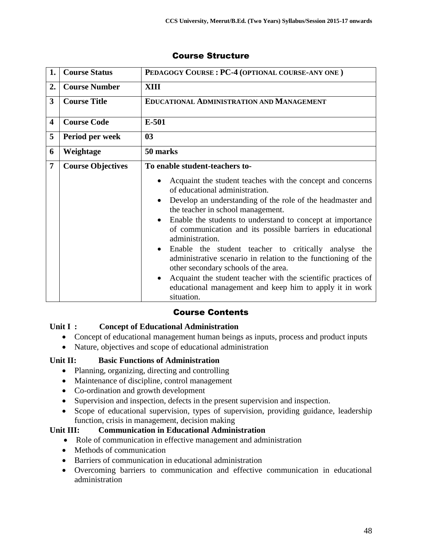| 1.                      | <b>Course Status</b>     | PEDAGOGY COURSE: PC-4 (OPTIONAL COURSE-ANY ONE)                                                                                                                                                                                                                                                                                                                                                                                                                                                                                                                                                                                                                          |
|-------------------------|--------------------------|--------------------------------------------------------------------------------------------------------------------------------------------------------------------------------------------------------------------------------------------------------------------------------------------------------------------------------------------------------------------------------------------------------------------------------------------------------------------------------------------------------------------------------------------------------------------------------------------------------------------------------------------------------------------------|
| 2.                      | <b>Course Number</b>     | XIII                                                                                                                                                                                                                                                                                                                                                                                                                                                                                                                                                                                                                                                                     |
| 3                       | <b>Course Title</b>      | <b>EDUCATIONAL ADMINISTRATION AND MANAGEMENT</b>                                                                                                                                                                                                                                                                                                                                                                                                                                                                                                                                                                                                                         |
| $\overline{\mathbf{4}}$ | <b>Course Code</b>       | E-501                                                                                                                                                                                                                                                                                                                                                                                                                                                                                                                                                                                                                                                                    |
| 5                       | Period per week          | 0 <sub>3</sub>                                                                                                                                                                                                                                                                                                                                                                                                                                                                                                                                                                                                                                                           |
| 6                       | Weightage                | 50 marks                                                                                                                                                                                                                                                                                                                                                                                                                                                                                                                                                                                                                                                                 |
| $\overline{7}$          | <b>Course Objectives</b> | To enable student-teachers to-                                                                                                                                                                                                                                                                                                                                                                                                                                                                                                                                                                                                                                           |
|                         |                          | Acquaint the student teaches with the concept and concerns<br>of educational administration.<br>Develop an understanding of the role of the headmaster and<br>the teacher in school management.<br>Enable the students to understand to concept at importance<br>of communication and its possible barriers in educational<br>administration.<br>Enable the student teacher to critically analyse<br>the<br>$\bullet$<br>administrative scenario in relation to the functioning of the<br>other secondary schools of the area.<br>Acquaint the student teacher with the scientific practices of<br>educational management and keep him to apply it in work<br>situation. |

## Course Contents

## **Unit I : Concept of Educational Administration**

- Concept of educational management human beings as inputs, process and product inputs
- Nature, objectives and scope of educational administration

#### **Unit II: Basic Functions of Administration**

- Planning, organizing, directing and controlling
- Maintenance of discipline, control management
- Co-ordination and growth development
- Supervision and inspection, defects in the present supervision and inspection.
- Scope of educational supervision, types of supervision, providing guidance, leadership function, crisis in management, decision making

#### **Unit III: Communication in Educational Administration**

- Role of communication in effective management and administration
- Methods of communication
- Barriers of communication in educational administration
- Overcoming barriers to communication and effective communication in educational administration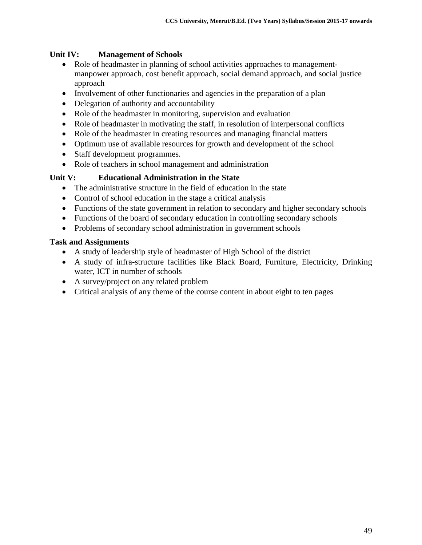### **Unit IV: Management of Schools**

- Role of headmaster in planning of school activities approaches to managementmanpower approach, cost benefit approach, social demand approach, and social justice approach
- Involvement of other functionaries and agencies in the preparation of a plan
- Delegation of authority and accountability
- Role of the headmaster in monitoring, supervision and evaluation
- Role of headmaster in motivating the staff, in resolution of interpersonal conflicts
- Role of the headmaster in creating resources and managing financial matters
- Optimum use of available resources for growth and development of the school
- Staff development programmes.
- Role of teachers in school management and administration

#### **Unit V: Educational Administration in the State**

- The administrative structure in the field of education in the state
- Control of school education in the stage a critical analysis
- Functions of the state government in relation to secondary and higher secondary schools
- Functions of the board of secondary education in controlling secondary schools
- Problems of secondary school administration in government schools

#### **Task and Assignments**

- A study of leadership style of headmaster of High School of the district
- A study of infra-structure facilities like Black Board, Furniture, Electricity, Drinking water, ICT in number of schools
- A survey/project on any related problem
- Critical analysis of any theme of the course content in about eight to ten pages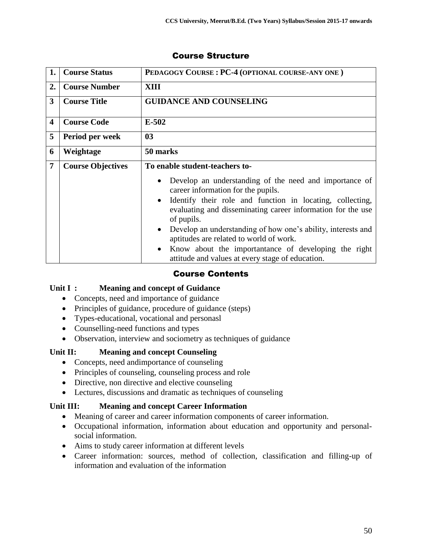| 1.                      | <b>Course Status</b>     | PEDAGOGY COURSE: PC-4 (OPTIONAL COURSE-ANY ONE)                                                                                                                                                                                                                                                                                                                                                                                                                                                      |
|-------------------------|--------------------------|------------------------------------------------------------------------------------------------------------------------------------------------------------------------------------------------------------------------------------------------------------------------------------------------------------------------------------------------------------------------------------------------------------------------------------------------------------------------------------------------------|
| 2.                      | <b>Course Number</b>     | XIII                                                                                                                                                                                                                                                                                                                                                                                                                                                                                                 |
| 3                       | <b>Course Title</b>      | <b>GUIDANCE AND COUNSELING</b>                                                                                                                                                                                                                                                                                                                                                                                                                                                                       |
| $\overline{\mathbf{4}}$ | <b>Course Code</b>       | $E-502$                                                                                                                                                                                                                                                                                                                                                                                                                                                                                              |
| 5                       | Period per week          | 0 <sub>3</sub>                                                                                                                                                                                                                                                                                                                                                                                                                                                                                       |
| 6                       | Weightage                | 50 marks                                                                                                                                                                                                                                                                                                                                                                                                                                                                                             |
| $\overline{7}$          | <b>Course Objectives</b> | To enable student-teachers to-                                                                                                                                                                                                                                                                                                                                                                                                                                                                       |
|                         |                          | Develop an understanding of the need and importance of<br>$\bullet$<br>career information for the pupils.<br>Identify their role and function in locating, collecting,<br>$\bullet$<br>evaluating and disseminating career information for the use<br>of pupils.<br>Develop an understanding of how one's ability, interests and<br>$\bullet$<br>aptitudes are related to world of work.<br>Know about the importantance of developing the right<br>attitude and values at every stage of education. |

## Course Contents

#### **Unit I : Meaning and concept of Guidance**

- Concepts, need and importance of guidance
- Principles of guidance, procedure of guidance (steps)
- Types-educational, vocational and personasl
- Counselling-need functions and types
- Observation, interview and sociometry as techniques of guidance

#### **Unit II: Meaning and concept Counseling**

- Concepts, need and importance of counseling
- Principles of counseling, counseling process and role
- Directive, non directive and elective counseling
- Lectures, discussions and dramatic as techniques of counseling

#### **Unit III: Meaning and concept Career Information**

- Meaning of career and career information components of career information.
- Occupational information, information about education and opportunity and personalsocial information.
- Aims to study career information at different levels
- Career information: sources, method of collection, classification and filling-up of information and evaluation of the information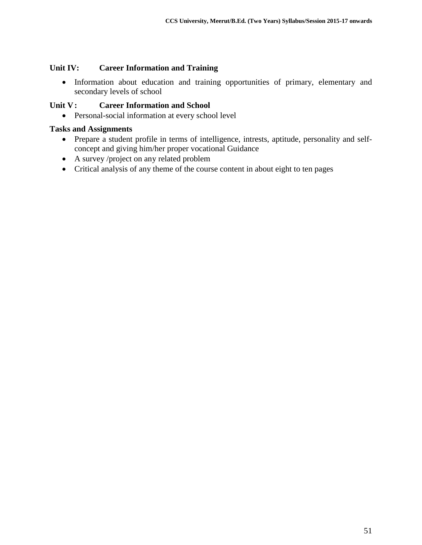#### **Unit IV: Career Information and Training**

 Information about education and training opportunities of primary, elementary and secondary levels of school

#### **Unit V: Career Information and School**

• Personal-social information at every school level

#### **Tasks and Assignments**

- Prepare a student profile in terms of intelligence, intrests, aptitude, personality and selfconcept and giving him/her proper vocational Guidance
- A survey /project on any related problem
- Critical analysis of any theme of the course content in about eight to ten pages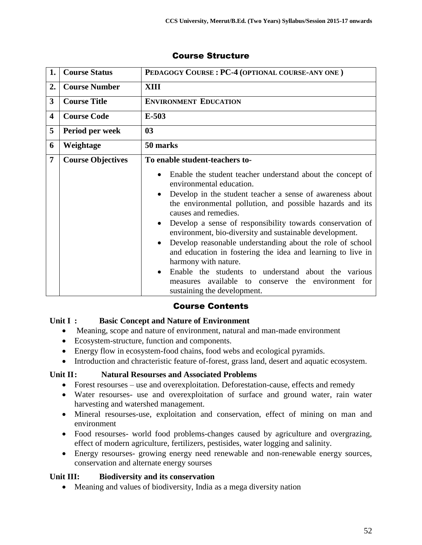| 1.                      | <b>Course Status</b>     | PEDAGOGY COURSE: PC-4 (OPTIONAL COURSE-ANY ONE)                                                                                                                                                                                                                                                                                                                                                                                                                                                                                                                                                                                                                                                            |
|-------------------------|--------------------------|------------------------------------------------------------------------------------------------------------------------------------------------------------------------------------------------------------------------------------------------------------------------------------------------------------------------------------------------------------------------------------------------------------------------------------------------------------------------------------------------------------------------------------------------------------------------------------------------------------------------------------------------------------------------------------------------------------|
| 2.                      | <b>Course Number</b>     | XIII                                                                                                                                                                                                                                                                                                                                                                                                                                                                                                                                                                                                                                                                                                       |
| 3                       | <b>Course Title</b>      | <b>ENVIRONMENT EDUCATION</b>                                                                                                                                                                                                                                                                                                                                                                                                                                                                                                                                                                                                                                                                               |
| $\overline{\mathbf{4}}$ | <b>Course Code</b>       | $E-503$                                                                                                                                                                                                                                                                                                                                                                                                                                                                                                                                                                                                                                                                                                    |
| 5                       | Period per week          | 0 <sub>3</sub>                                                                                                                                                                                                                                                                                                                                                                                                                                                                                                                                                                                                                                                                                             |
| 6                       | Weightage                | 50 marks                                                                                                                                                                                                                                                                                                                                                                                                                                                                                                                                                                                                                                                                                                   |
| $\overline{7}$          | <b>Course Objectives</b> | To enable student-teachers to-                                                                                                                                                                                                                                                                                                                                                                                                                                                                                                                                                                                                                                                                             |
|                         |                          | Enable the student teacher understand about the concept of<br>environmental education.<br>Develop in the student teacher a sense of awareness about<br>$\bullet$<br>the environmental pollution, and possible hazards and its<br>causes and remedies.<br>Develop a sense of responsibility towards conservation of<br>environment, bio-diversity and sustainable development.<br>Develop reasonable understanding about the role of school<br>$\bullet$<br>and education in fostering the idea and learning to live in<br>harmony with nature.<br>Enable the students to understand about the various<br>$\bullet$<br>available to conserve the environment for<br>measures<br>sustaining the development. |

## Course Contents

#### **Unit I : Basic Concept and Nature of Environment**

- Meaning, scope and nature of environment, natural and man-made environment
- Ecosystem-structure, function and components.
- Energy flow in ecosystem-food chains, food webs and ecological pyramids.
- Introduction and chracteristic feature of-forest, grass land, desert and aquatic ecosystem.

#### **Unit II: Natural Resourses and Associated Problems**

- Forest resourses use and overexploitation. Deforestation-cause, effects and remedy
- Water resourses- use and overexploitation of surface and ground water, rain water harvesting and watershed management.
- Mineral resourses-use, exploitation and conservation, effect of mining on man and environment
- Food resourses- world food problems-changes caused by agriculture and overgrazing, effect of modern agriculture, fertilizers, pestisides, water logging and salinity.
- Energy resourses- growing energy need renewable and non-renewable energy sources, conservation and alternate energy sourses

## **Unit III: Biodiversity and its conservation**

Meaning and values of biodiversity, India as a mega diversity nation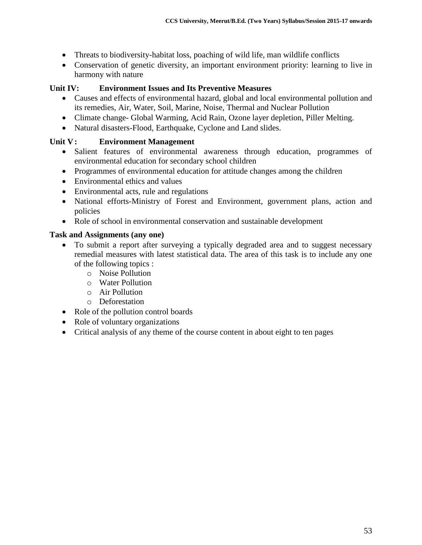- Threats to biodiversity-habitat loss, poaching of wild life, man wildlife conflicts
- Conservation of genetic diversity, an important environment priority: learning to live in harmony with nature

#### **Unit IV: Environment Issues and Its Preventive Measures**

- Causes and effects of environmental hazard, global and local environmental pollution and its remedies, Air, Water, Soil, Marine, Noise, Thermal and Nuclear Pollution
- Climate change- Global Warming, Acid Rain, Ozone layer depletion, Piller Melting.
- Natural disasters-Flood, Earthquake, Cyclone and Land slides.

#### **Unit V: Environment Management**

- Salient features of environmental awareness through education, programmes of environmental education for secondary school children
- Programmes of environmental education for attitude changes among the children
- Environmental ethics and values
- Environmental acts, rule and regulations
- National efforts-Ministry of Forest and Environment, government plans, action and policies
- Role of school in environmental conservation and sustainable development

#### **Task and Assignments (any one)**

- To submit a report after surveying a typically degraded area and to suggest necessary remedial measures with latest statistical data. The area of this task is to include any one of the following topics :
	- o Noise Pollution
	- o Water Pollution
	- o Air Pollution
	- o Deforestation
- Role of the pollution control boards
- Role of voluntary organizations
- Critical analysis of any theme of the course content in about eight to ten pages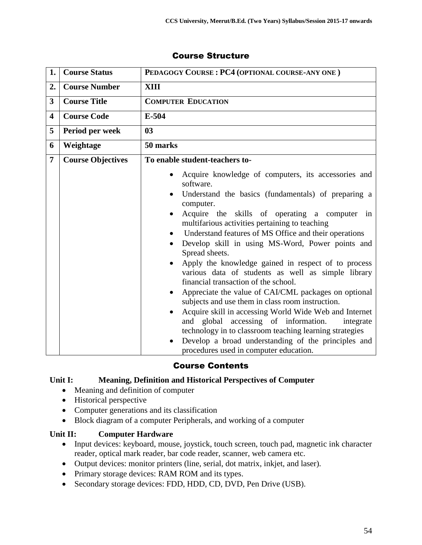| 1.             | <b>Course Status</b>     | PEDAGOGY COURSE: PC4 (OPTIONAL COURSE-ANY ONE)                                                                                                                                                                                                                                                                                                                                                                                                                                                                                                                                                                                                                                                                                                                                                                                                                                                                                       |
|----------------|--------------------------|--------------------------------------------------------------------------------------------------------------------------------------------------------------------------------------------------------------------------------------------------------------------------------------------------------------------------------------------------------------------------------------------------------------------------------------------------------------------------------------------------------------------------------------------------------------------------------------------------------------------------------------------------------------------------------------------------------------------------------------------------------------------------------------------------------------------------------------------------------------------------------------------------------------------------------------|
| 2.             | <b>Course Number</b>     | <b>XIII</b>                                                                                                                                                                                                                                                                                                                                                                                                                                                                                                                                                                                                                                                                                                                                                                                                                                                                                                                          |
| 3              | <b>Course Title</b>      | <b>COMPUTER EDUCATION</b>                                                                                                                                                                                                                                                                                                                                                                                                                                                                                                                                                                                                                                                                                                                                                                                                                                                                                                            |
| 4              | <b>Course Code</b>       | $E-504$                                                                                                                                                                                                                                                                                                                                                                                                                                                                                                                                                                                                                                                                                                                                                                                                                                                                                                                              |
| 5              | Period per week          | 0 <sub>3</sub>                                                                                                                                                                                                                                                                                                                                                                                                                                                                                                                                                                                                                                                                                                                                                                                                                                                                                                                       |
| 6              | Weightage                | 50 marks                                                                                                                                                                                                                                                                                                                                                                                                                                                                                                                                                                                                                                                                                                                                                                                                                                                                                                                             |
| $\overline{7}$ | <b>Course Objectives</b> | To enable student-teachers to-                                                                                                                                                                                                                                                                                                                                                                                                                                                                                                                                                                                                                                                                                                                                                                                                                                                                                                       |
|                |                          | Acquire knowledge of computers, its accessories and<br>software.<br>Understand the basics (fundamentals) of preparing a<br>computer.<br>Acquire the skills of operating a computer in<br>multifarious activities pertaining to teaching<br>Understand features of MS Office and their operations<br>Develop skill in using MS-Word, Power points and<br>Spread sheets.<br>Apply the knowledge gained in respect of to process<br>various data of students as well as simple library<br>financial transaction of the school.<br>Appreciate the value of CAI/CML packages on optional<br>٠<br>subjects and use them in class room instruction.<br>Acquire skill in accessing World Wide Web and Internet<br>$\bullet$<br>and global accessing of information.<br>integrate<br>technology in to classroom teaching learning strategies<br>Develop a broad understanding of the principles and<br>procedures used in computer education. |

## Course Contents

#### **Unit I: Meaning, Definition and Historical Perspectives of Computer**

- Meaning and definition of computer
- Historical perspective
- Computer generations and its classification
- Block diagram of a computer Peripherals, and working of a computer

#### **Unit II: Computer Hardware**

- Input devices: keyboard, mouse, joystick, touch screen, touch pad, magnetic ink character reader, optical mark reader, bar code reader, scanner, web camera etc.
- Output devices: monitor printers (line, serial, dot matrix, inkjet, and laser).
- Primary storage devices: RAM ROM and its types.
- Secondary storage devices: FDD, HDD, CD, DVD, Pen Drive (USB).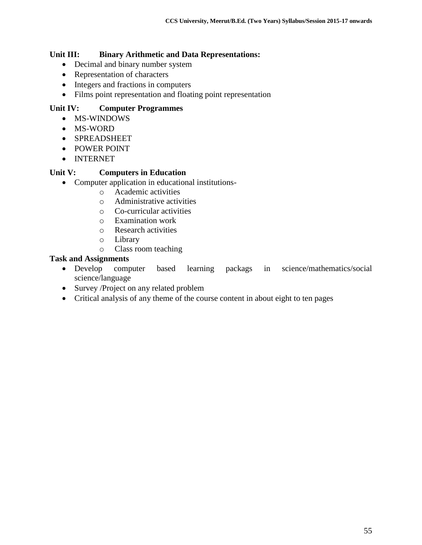#### **Unit III: Binary Arithmetic and Data Representations:**

- Decimal and binary number system
- Representation of characters
- Integers and fractions in computers
- Films point representation and floating point representation

### **Unit IV: Computer Programmes**

- MS-WINDOWS
- MS-WORD
- SPREADSHEET
- POWER POINT
- INTERNET

#### **Unit V: Computers in Education**

- Computer application in educational institutions
	- o Academic activities
	- o Administrative activities
	- o Co-curricular activities
	- o Examination work
	- o Research activities
	- o Library
	- o Class room teaching

### **Task and Assignments**

- Develop computer based learning packags in science/mathematics/social science/language
- Survey /Project on any related problem
- Critical analysis of any theme of the course content in about eight to ten pages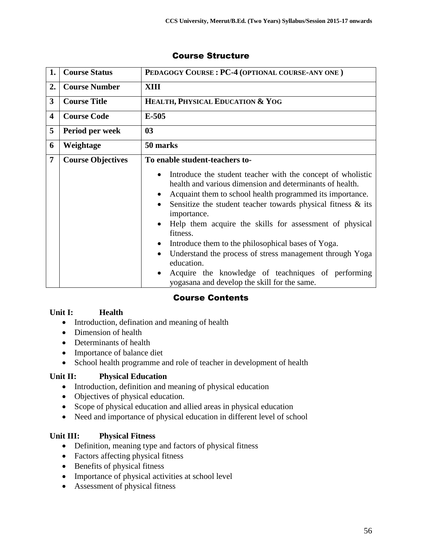| 1.                      | <b>Course Status</b>     | PEDAGOGY COURSE: PC-4 (OPTIONAL COURSE-ANY ONE)                                                                                                                                                                                                                                                                                                                                                                                                                                                                                                                                                  |
|-------------------------|--------------------------|--------------------------------------------------------------------------------------------------------------------------------------------------------------------------------------------------------------------------------------------------------------------------------------------------------------------------------------------------------------------------------------------------------------------------------------------------------------------------------------------------------------------------------------------------------------------------------------------------|
| 2.                      | <b>Course Number</b>     | XIII                                                                                                                                                                                                                                                                                                                                                                                                                                                                                                                                                                                             |
| $\mathbf{3}$            | <b>Course Title</b>      | HEALTH, PHYSICAL EDUCATION & YOG                                                                                                                                                                                                                                                                                                                                                                                                                                                                                                                                                                 |
| $\overline{\mathbf{4}}$ | <b>Course Code</b>       | $E-505$                                                                                                                                                                                                                                                                                                                                                                                                                                                                                                                                                                                          |
| 5                       | Period per week          | 0 <sub>3</sub>                                                                                                                                                                                                                                                                                                                                                                                                                                                                                                                                                                                   |
| 6                       | Weightage                | 50 marks                                                                                                                                                                                                                                                                                                                                                                                                                                                                                                                                                                                         |
| $\overline{7}$          | <b>Course Objectives</b> | To enable student-teachers to-                                                                                                                                                                                                                                                                                                                                                                                                                                                                                                                                                                   |
|                         |                          | Introduce the student teacher with the concept of wholistic<br>health and various dimension and determinants of health.<br>Acquaint them to school health programmed its importance.<br>Sensitize the student teacher towards physical fitness $\&$ its<br>importance.<br>Help them acquire the skills for assessment of physical<br>fitness.<br>Introduce them to the philosophical bases of Yoga.<br>$\bullet$<br>Understand the process of stress management through Yoga<br>education.<br>Acquire the knowledge of teachniques of performing<br>yogasana and develop the skill for the same. |

## Course Contents

#### **Unit I: Health**

- Introduction, defination and meaning of health
- Dimension of health
- Determinants of health
- Importance of balance diet
- School health programme and role of teacher in development of health

#### **Unit II: Physical Education**

- Introduction, definition and meaning of physical education
- Objectives of physical education.
- Scope of physical education and allied areas in physical education
- Need and importance of physical education in different level of school

#### **Unit III: Physical Fitness**

- Definition, meaning type and factors of physical fitness
- Factors affecting physical fitness
- Benefits of physical fitness
- Importance of physical activities at school level
- Assessment of physical fitness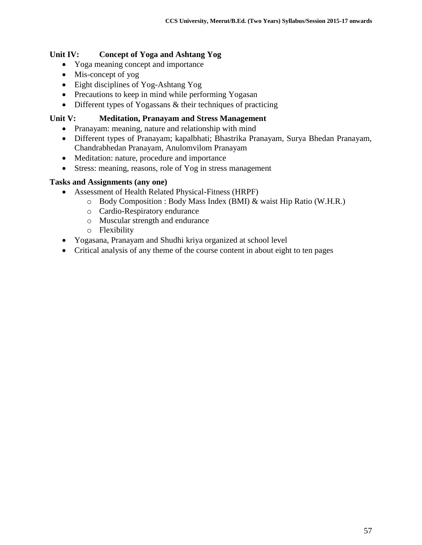### **Unit IV: Concept of Yoga and Ashtang Yog**

- Yoga meaning concept and importance
- Mis-concept of yog
- Eight disciplines of Yog-Ashtang Yog
- Precautions to keep in mind while performing Yogasan
- Different types of Yogassans & their techniques of practicing

#### **Unit V: Meditation, Pranayam and Stress Management**

- Pranayam: meaning, nature and relationship with mind
- Different types of Pranayam; kapalbhati; Bhastrika Pranayam, Surya Bhedan Pranayam, Chandrabhedan Pranayam, Anulomvilom Pranayam
- Meditation: nature, procedure and importance
- Stress: meaning, reasons, role of Yog in stress management

#### **Tasks and Assignments (any one)**

- Assessment of Health Related Physical-Fitness (HRPF)
	- o Body Composition : Body Mass Index (BMI) & waist Hip Ratio (W.H.R.)
	- o Cardio-Respiratory endurance
	- o Muscular strength and endurance
	- o Flexibility
- Yogasana, Pranayam and Shudhi kriya organized at school level
- Critical analysis of any theme of the course content in about eight to ten pages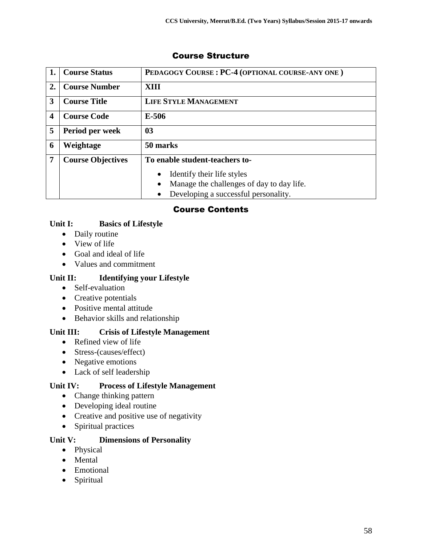| 1. | <b>Course Status</b>     | PEDAGOGY COURSE: PC-4 (OPTIONAL COURSE-ANY ONE) |
|----|--------------------------|-------------------------------------------------|
| 2. | <b>Course Number</b>     | XIII                                            |
| 3  | <b>Course Title</b>      | <b>LIFE STYLE MANAGEMENT</b>                    |
| 4  | <b>Course Code</b>       | $E-506$                                         |
| 5  | Period per week          | 0 <sub>3</sub>                                  |
| 6  | Weightage                | 50 marks                                        |
| 7  | <b>Course Objectives</b> | To enable student-teachers to-                  |
|    |                          | Identify their life styles<br>$\bullet$         |
|    |                          | Manage the challenges of day to day life.<br>٠  |
|    |                          | Developing a successful personality.            |

## Course Contents

## **Unit I: Basics of Lifestyle**

- Daily routine
- View of life
- Goal and ideal of life
- Values and commitment

#### **Unit II: Identifying your Lifestyle**

- Self-evaluation
- Creative potentials
- Positive mental attitude
- Behavior skills and relationship

## **Unit III: Crisis of Lifestyle Management**

- Refined view of life
- Stress-(causes/effect)
- Negative emotions
- Lack of self leadership

## **Unit IV: Process of Lifestyle Management**

- Change thinking pattern
- Developing ideal routine
- Creative and positive use of negativity
- Spiritual practices

#### **Unit V: Dimensions of Personality**

- Physical
- Mental
- Emotional
- Spiritual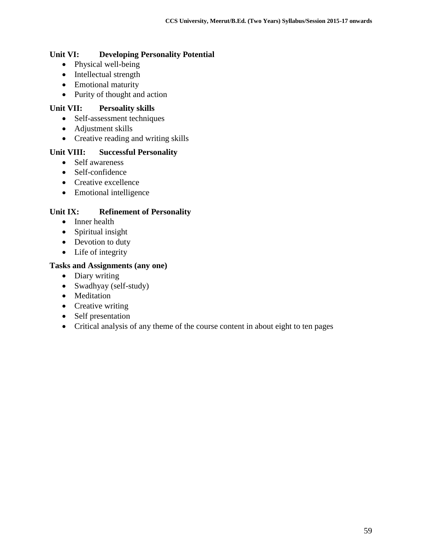#### **Unit VI: Developing Personality Potential**

- Physical well-being
- Intellectual strength
- Emotional maturity
- Purity of thought and action

#### **Unit VII: Persoality skills**

- Self-assessment techniques
- Adjustment skills
- Creative reading and writing skills

#### **Unit VIII: Successful Personality**

- Self awareness
- Self-confidence
- Creative excellence
- Emotional intelligence

#### **Unit IX: Refinement of Personality**

- Inner health
- Spiritual insight
- Devotion to duty
- Life of integrity

#### **Tasks and Assignments (any one)**

- Diary writing
- Swadhyay (self-study)
- Meditation
- Creative writing
- Self presentation
- Critical analysis of any theme of the course content in about eight to ten pages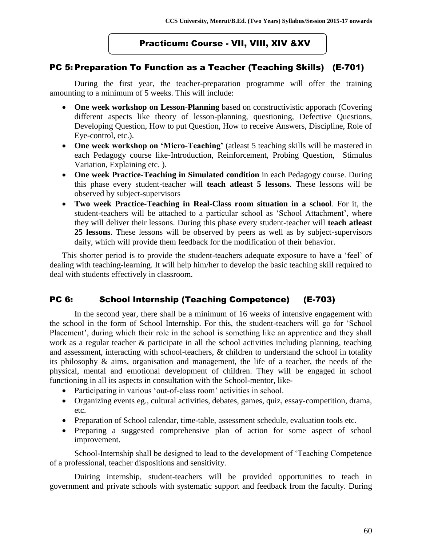## Practicum: Course - VII, VIII, XIV &XV

## PC 5: Preparation To Function as a Teacher (Teaching Skills) (E-701)

During the first year, the teacher-preparation programme will offer the training amounting to a minimum of 5 weeks. This will include:

- **One week workshop on Lesson-Planning** based on constructivistic apporach (Covering different aspects like theory of lesson-planning, questioning, Defective Questions, Developing Question, How to put Question, How to receive Answers, Discipline, Role of Eye-control, etc.).
- **One week workshop on 'Micro-Teaching'** (atleast 5 teaching skills will be mastered in each Pedagogy course like-Introduction, Reinforcement, Probing Question, Stimulus Variation, Explaining etc. ).
- **One week Practice-Teaching in Simulated condition** in each Pedagogy course. During this phase every student-teacher will **teach atleast 5 lessons**. These lessons will be observed by subject-supervisors
- **Two week Practice-Teaching in Real-Class room situation in a school**. For it, the student-teachers will be attached to a particular school as 'School Attachment', where they will deliver their lessons. During this phase every student-teacher will **teach atleast 25 lessons**. These lessons will be observed by peers as well as by subject-supervisors daily, which will provide them feedback for the modification of their behavior.

This shorter period is to provide the student-teachers adequate exposure to have a 'feel' of dealing with teaching-learning. It will help him/her to develop the basic teaching skill required to deal with students effectively in classroom.

## PC 6: School Internship (Teaching Competence) (E-703)

In the second year, there shall be a minimum of 16 weeks of intensive engagement with the school in the form of School Internship. For this, the student-teachers will go for 'School Placement', during which their role in the school is something like an apprentice and they shall work as a regular teacher & participate in all the school activities including planning, teaching and assessment, interacting with school-teachers, & children to understand the school in totality its philosophy & aims, organisation and management, the life of a teacher, the needs of the physical, mental and emotional development of children. They will be engaged in school functioning in all its aspects in consultation with the School-mentor, like-

- Participating in various 'out-of-class room' activities in school.
- Organizing events eg., cultural activities, debates, games, quiz, essay-competition, drama, etc.
- Preparation of School calendar, time-table, assessment schedule, evaluation tools etc.
- Preparing a suggested comprehensive plan of action for some aspect of school improvement.

School-Internship shall be designed to lead to the development of 'Teaching Competence of a professional, teacher dispositions and sensitivity.

Duiring internship, student-teachers will be provided opportunities to teach in government and private schools with systematic support and feedback from the faculty. During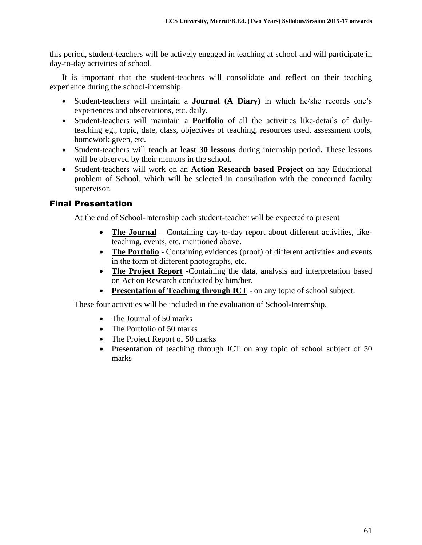this period, student-teachers will be actively engaged in teaching at school and will participate in day-to-day activities of school.

It is important that the student-teachers will consolidate and reflect on their teaching experience during the school-internship.

- Student-teachers will maintain a **Journal (A Diary)** in which he/she records one's experiences and observations, etc. daily.
- Student-teachers will maintain a **Portfolio** of all the activities like-details of dailyteaching eg., topic, date, class, objectives of teaching, resources used, assessment tools, homework given, etc.
- Student-teachers will **teach at least 30 lessons** during internship period**.** These lessons will be observed by their mentors in the school.
- Student-teachers will work on an **Action Research based Project** on any Educational problem of School, which will be selected in consultation with the concerned faculty supervisor.

## Final Presentation

At the end of School-Internship each student-teacher will be expected to present

- **The Journal** Containing day-to-day report about different activities, liketeaching, events, etc. mentioned above.
- **The Portfolio** Containing evidences (proof) of different activities and events in the form of different photographs, etc.
- **The Project Report** -Containing the data, analysis and interpretation based on Action Research conducted by him/her.
- **Presentation of Teaching through ICT** on any topic of school subject.

These four activities will be included in the evaluation of School-Internship.

- The Journal of 50 marks
- The Portfolio of 50 marks
- The Project Report of 50 marks
- Presentation of teaching through ICT on any topic of school subject of 50 marks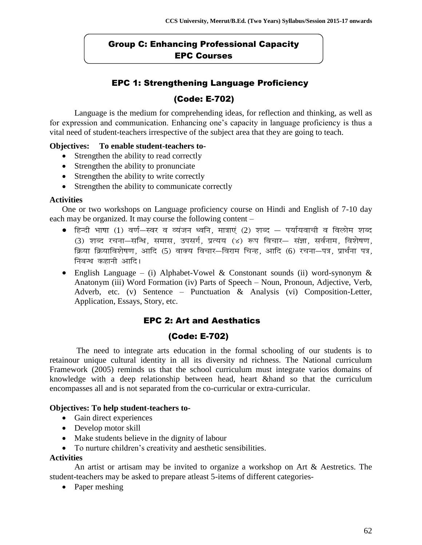## Group C: Enhancing Professional Capacity EPC Courses

## EPC 1: Strengthening Language Proficiency (Code: E-702)

Language is the medium for comprehending ideas, for reflection and thinking, as well as for expression and communication. Enhancing one's capacity in language proficiency is thus a vital need of student-teachers irrespective of the subject area that they are going to teach.

#### **Objectives: To enable student-teachers to-**

- Strengthen the ability to read correctly
- Strengthen the ability to pronunciate
- Strengthen the ability to write correctly
- Strengthen the ability to communicate correctly

#### **Activities**

One or two workshops on Language proficiency course on Hindi and English of 7-10 day each may be organized. It may course the following content –

- हिन्दी भाषा (1) वर्ण—स्वर व व्यंजन ध्वनि, मात्राएं (2) शब्द पर्यायवाची व विलोम शब्द (3) शब्द रचना-सन्धि, समास, उपसर्ग, प्रत्यय (४) रूप विचार- संज्ञा, सर्वनाम, विशेषण, क्रिया क्रियाविशेषण, आदि (5) वाक्य विचार-विराम चिन्ह, आदि (6) रचना-पत्र, प्रार्थना पत्र, निबन्ध कहानी आदि।
- English Language (i) Alphabet-Vowel & Constonant sounds (ii) word-synonym & Anatonym (iii) Word Formation (iv) Parts of Speech – Noun, Pronoun, Adjective, Verb, Adverb, etc. (v) Sentence – Punctuation & Analysis (vi) Composition-Letter, Application, Essays, Story, etc.

## EPC 2: Art and Aesthatics

#### (Code: E-702)

 The need to integrate arts education in the formal schooling of our students is to retainour unique cultural identity in all its diversity nd richness. The National curriculum Framework (2005) reminds us that the school curriculum must integrate varios domains of knowledge with a deep relationship between head, heart &hand so that the curriculum encompasses all and is not separated from the co-curricular or extra-curricular.

#### **Objectives: To help student-teachers to-**

- Gain direct experiences
- Develop motor skill
- Make students believe in the dignity of labour
- To nurture children's creativity and aesthetic sensibilities.

#### **Activities**

An artist or artisam may be invited to organize a workshop on Art & Aestretics. The student-teachers may be asked to prepare atleast 5-items of different categories-

• Paper meshing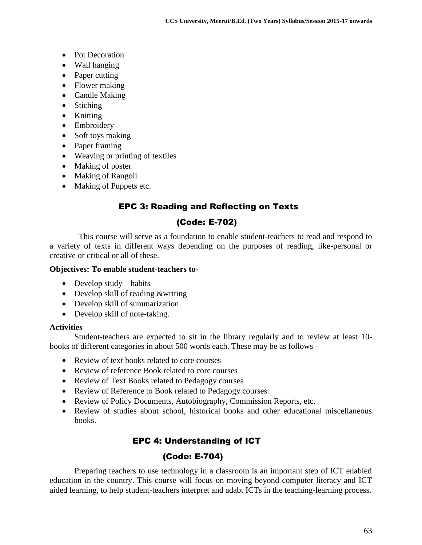- Pot Decoration
- Wall hanging
- Paper cutting
- Flower making
- Candle Making
- Stiching
- Knitting
- Embroidery
- Soft toys making
- Paper framing
- Weaving or printing of textiles
- Making of poster
- Making of Rangoli
- Making of Puppets etc.

## EPC 3: Reading and Reflecting on Texts

#### (Code: E-702)

 This course will serve as a foundation to enable student-teachers to read and respond to a variety of texts in different ways depending on the purposes of reading, like-personal or creative or critical or all of these.

#### **Objectives: To enable student-teachers to-**

- $\bullet$  Develop study habits
- Develop skill of reading &writing
- Develop skill of summarization
- Develop skill of note-taking.

#### **Activities**

Student-teachers are expected to sit in the library regularly and to review at least 10 books of different categories in about 500 words each. These may be as follows –

- Review of text books related to core courses
- Review of reference Book related to core courses
- Review of Text Books related to Pedagogy courses
- Review of Reference to Book related to Pedagogy courses.
- Review of Policy Documents, Autobiography, Commission Reports, etc.
- Review of studies about school, historical books and other educational miscellaneous books.

## EPC 4: Understanding of ICT

## (Code: E-704)

Preparing teachers to use technology in a classroom is an important step of ICT enabled education in the country. This course will focus on moving beyond computer literacy and ICT aided learning, to help student-teachers interpret and adabt ICTs in the teaching-learning process.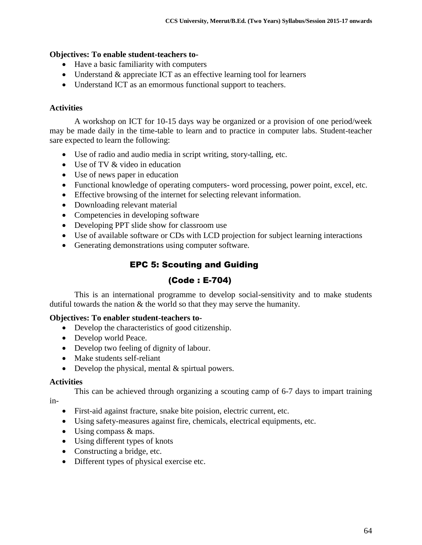#### **Objectives: To enable student-teachers to-**

- Have a basic familiarity with computers
- Understand & appreciate ICT as an effective learning tool for learners
- Understand ICT as an emormous functional support to teachers.

## **Activities**

A workshop on ICT for 10-15 days way be organized or a provision of one period/week may be made daily in the time-table to learn and to practice in computer labs. Student-teacher sare expected to learn the following:

- Use of radio and audio media in script writing, story-talling, etc.
- Use of TV & video in education
- Use of news paper in education
- Functional knowledge of operating computers- word processing, power point, excel, etc.
- Effective browsing of the internet for selecting relevant information.
- Downloading relevant material
- Competencies in developing software
- Developing PPT slide show for classroom use
- Use of available software or CDs with LCD projection for subject learning interactions
- Generating demonstrations using computer software.

## EPC 5: Scouting and Guiding

## (Code : E-704)

This is an international programme to develop social-sensitivity and to make students dutiful towards the nation & the world so that they may serve the humanity.

#### **Objectives: To enabler student-teachers to-**

- Develop the characteristics of good citizenship.
- Develop world Peace.
- Develop two feeling of dignity of labour.
- Make students self-reliant
- Develop the physical, mental & spirtual powers.

#### **Activities**

This can be achieved through organizing a scouting camp of 6-7 days to impart training

in-

- First-aid against fracture, snake bite poision, electric current, etc.
- Using safety-measures against fire, chemicals, electrical equipments, etc.
- Using compass & maps.
- Using different types of knots
- Constructing a bridge, etc.
- Different types of physical exercise etc.